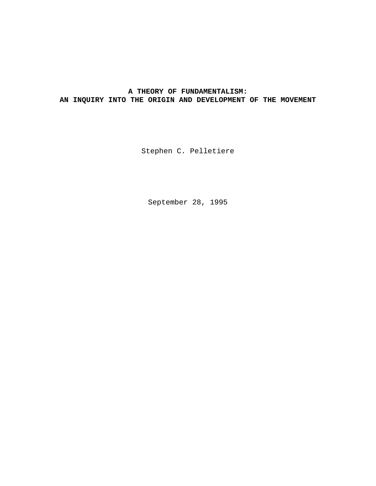# **A THEORY OF FUNDAMENTALISM: AN INQUIRY INTO THE ORIGIN AND DEVELOPMENT OF THE MOVEMENT**

Stephen C. Pelletiere

September 28, 1995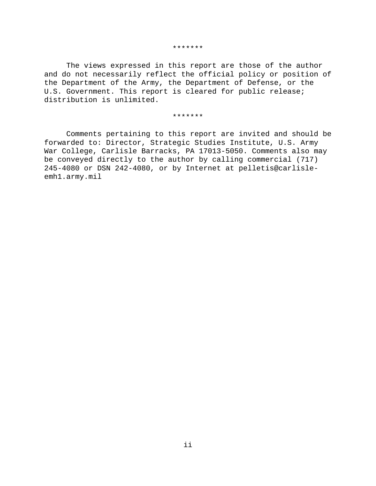#### \*\*\*\*\*\*\*

The views expressed in this report are those of the author and do not necessarily reflect the official policy or position of the Department of the Army, the Department of Defense, or the U.S. Government. This report is cleared for public release; distribution is unlimited.

#### \*\*\*\*\*\*\*

Comments pertaining to this report are invited and should be forwarded to: Director, Strategic Studies Institute, U.S. Army War College, Carlisle Barracks, PA 17013-5050. Comments also may be conveyed directly to the author by calling commercial (717) 245-4080 or DSN 242-4080, or by Internet at pelletis@carlisleemh1.army.mil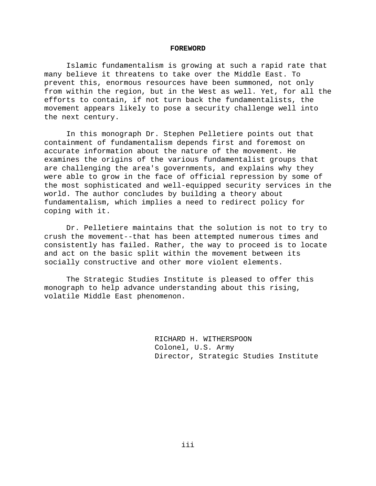#### **FOREWORD**

Islamic fundamentalism is growing at such a rapid rate that many believe it threatens to take over the Middle East. To prevent this, enormous resources have been summoned, not only from within the region, but in the West as well. Yet, for all the efforts to contain, if not turn back the fundamentalists, the movement appears likely to pose a security challenge well into the next century.

In this monograph Dr. Stephen Pelletiere points out that containment of fundamentalism depends first and foremost on accurate information about the nature of the movement. He examines the origins of the various fundamentalist groups that are challenging the area's governments, and explains why they were able to grow in the face of official repression by some of the most sophisticated and well-equipped security services in the world. The author concludes by building a theory about fundamentalism, which implies a need to redirect policy for coping with it.

Dr. Pelletiere maintains that the solution is not to try to crush the movement--that has been attempted numerous times and consistently has failed. Rather, the way to proceed is to locate and act on the basic split within the movement between its socially constructive and other more violent elements.

The Strategic Studies Institute is pleased to offer this monograph to help advance understanding about this rising, volatile Middle East phenomenon.

> RICHARD H. WITHERSPOON Colonel, U.S. Army Director, Strategic Studies Institute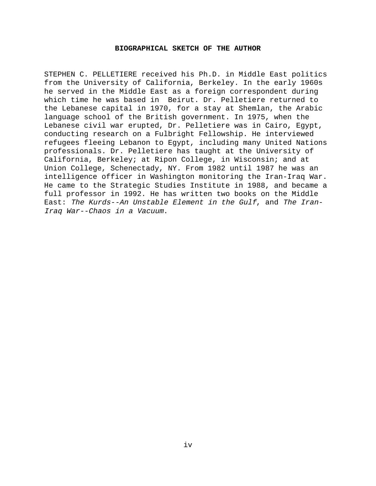#### **BIOGRAPHICAL SKETCH OF THE AUTHOR**

STEPHEN C. PELLETIERE received his Ph.D. in Middle East politics from the University of California, Berkeley. In the early 1960s he served in the Middle East as a foreign correspondent during which time he was based in Beirut. Dr. Pelletiere returned to the Lebanese capital in 1970, for a stay at Shemlan, the Arabic language school of the British government. In 1975, when the Lebanese civil war erupted, Dr. Pelletiere was in Cairo, Egypt, conducting research on a Fulbright Fellowship. He interviewed refugees fleeing Lebanon to Egypt, including many United Nations professionals. Dr. Pelletiere has taught at the University of California, Berkeley; at Ripon College, in Wisconsin; and at Union College, Schenectady, NY. From 1982 until 1987 he was an intelligence officer in Washington monitoring the Iran-Iraq War. He came to the Strategic Studies Institute in 1988, and became a full professor in 1992. He has written two books on the Middle East: The Kurds--An Unstable Element in the Gulf, and The Iran-Iraq War--Chaos in a Vacuum.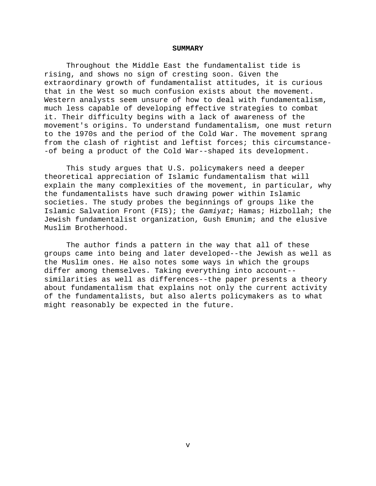#### **SUMMARY**

Throughout the Middle East the fundamentalist tide is rising, and shows no sign of cresting soon. Given the extraordinary growth of fundamentalist attitudes, it is curious that in the West so much confusion exists about the movement. Western analysts seem unsure of how to deal with fundamentalism, much less capable of developing effective strategies to combat it. Their difficulty begins with a lack of awareness of the movement's origins. To understand fundamentalism, one must return to the 1970s and the period of the Cold War. The movement sprang from the clash of rightist and leftist forces; this circumstance- -of being a product of the Cold War--shaped its development.

This study argues that U.S. policymakers need a deeper theoretical appreciation of Islamic fundamentalism that will explain the many complexities of the movement, in particular, why the fundamentalists have such drawing power within Islamic societies. The study probes the beginnings of groups like the Islamic Salvation Front (FIS); the Gamiyat; Hamas; Hizbollah; the Jewish fundamentalist organization, Gush Emunim; and the elusive Muslim Brotherhood.

The author finds a pattern in the way that all of these groups came into being and later developed--the Jewish as well as the Muslim ones. He also notes some ways in which the groups differ among themselves. Taking everything into account- similarities as well as differences--the paper presents a theory about fundamentalism that explains not only the current activity of the fundamentalists, but also alerts policymakers as to what might reasonably be expected in the future.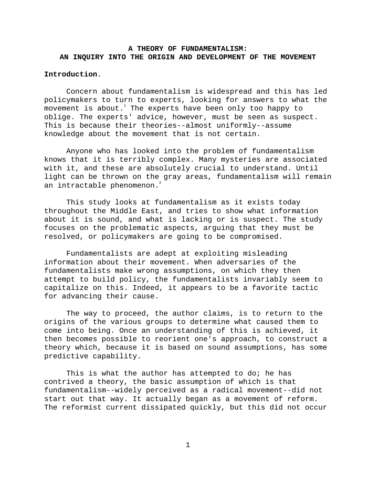## **A THEORY OF FUNDAMENTALISM: AN INQUIRY INTO THE ORIGIN AND DEVELOPMENT OF THE MOVEMENT**

### **Introduction**.

Concern about fundamentalism is widespread and this has led policymakers to turn to experts, looking for answers to what the movement is about. $^{\rm l}$  The experts have been only too happy to oblige. The experts' advice, however, must be seen as suspect. This is because their theories--almost uniformly--assume knowledge about the movement that is not certain.

Anyone who has looked into the problem of fundamentalism knows that it is terribly complex. Many mysteries are associated with it, and these are absolutely crucial to understand. Until light can be thrown on the gray areas, fundamentalism will remain an intractable phenomenon.<sup>2</sup>

This study looks at fundamentalism as it exists today throughout the Middle East, and tries to show what information about it is sound, and what is lacking or is suspect. The study focuses on the problematic aspects, arguing that they must be resolved, or policymakers are going to be compromised.

Fundamentalists are adept at exploiting misleading information about their movement. When adversaries of the fundamentalists make wrong assumptions, on which they then attempt to build policy, the fundamentalists invariably seem to capitalize on this. Indeed, it appears to be a favorite tactic for advancing their cause.

The way to proceed, the author claims, is to return to the origins of the various groups to determine what caused them to come into being. Once an understanding of this is achieved, it then becomes possible to reorient one's approach, to construct a theory which, because it is based on sound assumptions, has some predictive capability.

This is what the author has attempted to do; he has contrived a theory, the basic assumption of which is that fundamentalism--widely perceived as a radical movement--did not start out that way. It actually began as a movement of reform. The reformist current dissipated quickly, but this did not occur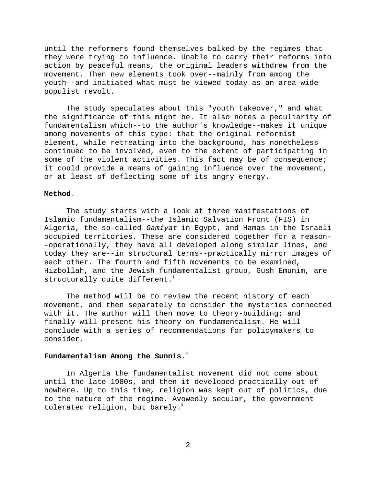until the reformers found themselves balked by the regimes that they were trying to influence. Unable to carry their reforms into action by peaceful means, the original leaders withdrew from the movement. Then new elements took over--mainly from among the youth--and initiated what must be viewed today as an area-wide populist revolt.

The study speculates about this "youth takeover," and what the significance of this might be. It also notes a peculiarity of fundamentalism which--to the author's knowledge--makes it unique among movements of this type: that the original reformist element, while retreating into the background, has nonetheless continued to be involved, even to the extent of participating in some of the violent activities. This fact may be of consequence; it could provide a means of gaining influence over the movement, or at least of deflecting some of its angry energy.

### **Method**.

The study starts with a look at three manifestations of Islamic fundamentalism--the Islamic Salvation Front (FIS) in Algeria, the so-called Gamiyat in Egypt, and Hamas in the Israeli occupied territories. These are considered together for a reason- -operationally, they have all developed along similar lines, and today they are--in structural terms--practically mirror images of each other. The fourth and fifth movements to be examined, Hizbollah, and the Jewish fundamentalist group, Gush Emunim, are structurally quite different.<sup>3</sup>

The method will be to review the recent history of each movement, and then separately to consider the mysteries connected with it. The author will then move to theory-building; and finally will present his theory on fundamentalism. He will conclude with a series of recommendations for policymakers to consider.

## **Fundamentalism Among the Sunnis**.4

In Algeria the fundamentalist movement did not come about until the late 1980s, and then it developed practically out of nowhere. Up to this time, religion was kept out of politics, due to the nature of the regime. Avowedly secular, the government tolerated religion, but barely.<sup>5</sup>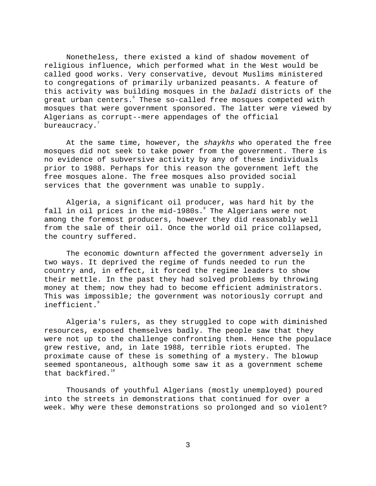Nonetheless, there existed a kind of shadow movement of religious influence, which performed what in the West would be called good works. Very conservative, devout Muslims ministered to congregations of primarily urbanized peasants. A feature of this activity was building mosques in the baladi districts of the great urban centers. Ihese so-called free mosques competed with mosques that were government sponsored. The latter were viewed by Algerians as corrupt--mere appendages of the official bureaucracy. $<sup>7</sup>$ </sup>

At the same time, however, the shaykhs who operated the free mosques did not seek to take power from the government. There is no evidence of subversive activity by any of these individuals prior to 1988. Perhaps for this reason the government left the free mosques alone. The free mosques also provided social services that the government was unable to supply.

Algeria, a significant oil producer, was hard hit by the fall in oil prices in the mid-1980s.8 The Algerians were not among the foremost producers, however they did reasonably well from the sale of their oil. Once the world oil price collapsed, the country suffered.

The economic downturn affected the government adversely in two ways. It deprived the regime of funds needed to run the country and, in effect, it forced the regime leaders to show their mettle. In the past they had solved problems by throwing money at them; now they had to become efficient administrators. This was impossible; the government was notoriously corrupt and inefficient.<sup>9</sup>

Algeria's rulers, as they struggled to cope with diminished resources, exposed themselves badly. The people saw that they were not up to the challenge confronting them. Hence the populace grew restive, and, in late 1988, terrible riots erupted. The proximate cause of these is something of a mystery. The blowup seemed spontaneous, although some saw it as a government scheme that backfired.<sup>10</sup>

Thousands of youthful Algerians (mostly unemployed) poured into the streets in demonstrations that continued for over a week. Why were these demonstrations so prolonged and so violent?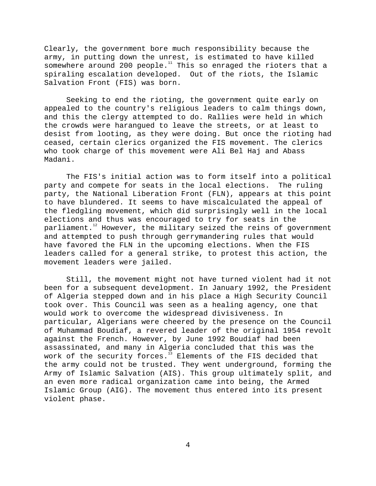Clearly, the government bore much responsibility because the army, in putting down the unrest, is estimated to have killed somewhere around 200 people.<sup>11</sup> This so enraged the rioters that a spiraling escalation developed. Out of the riots, the Islamic Salvation Front (FIS) was born.

Seeking to end the rioting, the government quite early on appealed to the country's religious leaders to calm things down, and this the clergy attempted to do. Rallies were held in which the crowds were harangued to leave the streets, or at least to desist from looting, as they were doing. But once the rioting had ceased, certain clerics organized the FIS movement. The clerics who took charge of this movement were Ali Bel Haj and Abass Madani.

The FIS's initial action was to form itself into a political party and compete for seats in the local elections. The ruling party, the National Liberation Front (FLN), appears at this point to have blundered. It seems to have miscalculated the appeal of the fledgling movement, which did surprisingly well in the local elections and thus was encouraged to try for seats in the parliament. $12$  However, the military seized the reins of government and attempted to push through gerrymandering rules that would have favored the FLN in the upcoming elections. When the FIS leaders called for a general strike, to protest this action, the movement leaders were jailed.

Still, the movement might not have turned violent had it not been for a subsequent development. In January 1992, the President of Algeria stepped down and in his place a High Security Council took over. This Council was seen as a healing agency, one that would work to overcome the widespread divisiveness. In particular, Algerians were cheered by the presence on the Council of Muhammad Boudiaf, a revered leader of the original 1954 revolt against the French. However, by June 1992 Boudiaf had been assassinated, and many in Algeria concluded that this was the work of the security forces.<sup>13</sup> Elements of the FIS decided that the army could not be trusted. They went underground, forming the Army of Islamic Salvation (AIS). This group ultimately split, and an even more radical organization came into being, the Armed Islamic Group (AIG). The movement thus entered into its present violent phase.

4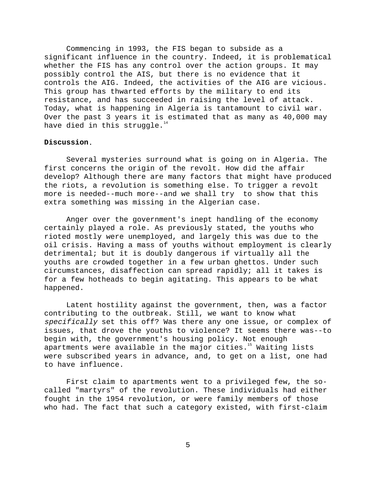Commencing in 1993, the FIS began to subside as a significant influence in the country. Indeed, it is problematical whether the FIS has any control over the action groups. It may possibly control the AIS, but there is no evidence that it controls the AIG. Indeed, the activities of the AIG are vicious. This group has thwarted efforts by the military to end its resistance, and has succeeded in raising the level of attack. Today, what is happening in Algeria is tantamount to civil war. Over the past 3 years it is estimated that as many as 40,000 may have died in this struggle.<sup>14</sup>

#### **Discussion**.

Several mysteries surround what is going on in Algeria. The first concerns the origin of the revolt. How did the affair develop? Although there are many factors that might have produced the riots, a revolution is something else. To trigger a revolt more is needed--much more--and we shall try to show that this extra something was missing in the Algerian case.

Anger over the government's inept handling of the economy certainly played a role. As previously stated, the youths who rioted mostly were unemployed, and largely this was due to the oil crisis. Having a mass of youths without employment is clearly detrimental; but it is doubly dangerous if virtually all the youths are crowded together in a few urban ghettos. Under such circumstances, disaffection can spread rapidly; all it takes is for a few hotheads to begin agitating. This appears to be what happened.

Latent hostility against the government, then, was a factor contributing to the outbreak. Still, we want to know what specifically set this off? Was there any one issue, or complex of issues, that drove the youths to violence? It seems there was--to begin with, the government's housing policy. Not enough apartments were available in the major cities. $15$  Waiting lists were subscribed years in advance, and, to get on a list, one had to have influence.

First claim to apartments went to a privileged few, the socalled "martyrs" of the revolution. These individuals had either fought in the 1954 revolution, or were family members of those who had. The fact that such a category existed, with first-claim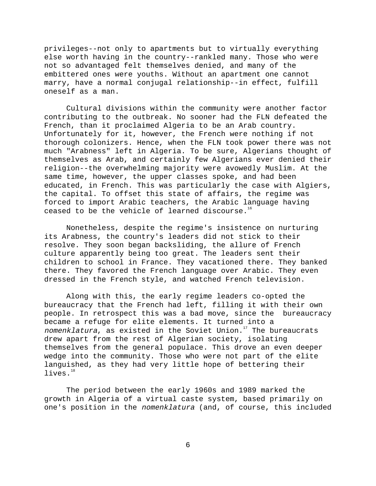privileges--not only to apartments but to virtually everything else worth having in the country--rankled many. Those who were not so advantaged felt themselves denied, and many of the embittered ones were youths. Without an apartment one cannot marry, have a normal conjugal relationship--in effect, fulfill oneself as a man.

Cultural divisions within the community were another factor contributing to the outbreak. No sooner had the FLN defeated the French, than it proclaimed Algeria to be an Arab country. Unfortunately for it, however, the French were nothing if not thorough colonizers. Hence, when the FLN took power there was not much "Arabness" left in Algeria. To be sure, Algerians thought of themselves as Arab, and certainly few Algerians ever denied their religion--the overwhelming majority were avowedly Muslim. At the same time, however, the upper classes spoke, and had been educated, in French. This was particularly the case with Algiers, the capital. To offset this state of affairs, the regime was forced to import Arabic teachers, the Arabic language having ceased to be the vehicle of learned discourse.<sup>16</sup>

Nonetheless, despite the regime's insistence on nurturing its Arabness, the country's leaders did not stick to their resolve. They soon began backsliding, the allure of French culture apparently being too great. The leaders sent their children to school in France. They vacationed there. They banked there. They favored the French language over Arabic. They even dressed in the French style, and watched French television.

Along with this, the early regime leaders co-opted the bureaucracy that the French had left, filling it with their own people. In retrospect this was a bad move, since the bureaucracy became a refuge for elite elements. It turned into a nomenklatura, as existed in the Soviet Union.<sup>17</sup> The bureaucrats drew apart from the rest of Algerian society, isolating themselves from the general populace. This drove an even deeper wedge into the community. Those who were not part of the elite languished, as they had very little hope of bettering their lives. $18$ 

The period between the early 1960s and 1989 marked the growth in Algeria of a virtual caste system, based primarily on one's position in the nomenklatura (and, of course, this included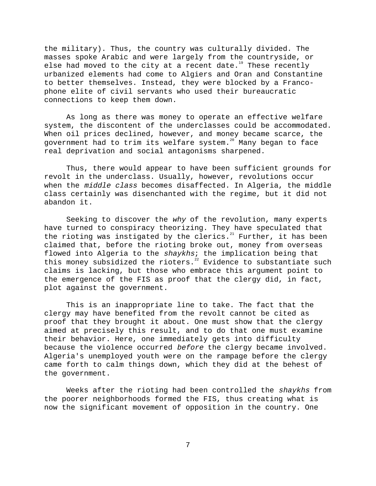the military). Thus, the country was culturally divided. The masses spoke Arabic and were largely from the countryside, or else had moved to the city at a recent date.<sup>19</sup> These recently urbanized elements had come to Algiers and Oran and Constantine to better themselves. Instead, they were blocked by a Francophone elite of civil servants who used their bureaucratic connections to keep them down.

As long as there was money to operate an effective welfare system, the discontent of the underclasses could be accommodated. When oil prices declined, however, and money became scarce, the government had to trim its welfare system.<sup>20</sup> Many began to face real deprivation and social antagonisms sharpened.

Thus, there would appear to have been sufficient grounds for revolt in the underclass. Usually, however, revolutions occur when the middle class becomes disaffected. In Algeria, the middle class certainly was disenchanted with the regime, but it did not abandon it.

Seeking to discover the why of the revolution, many experts have turned to conspiracy theorizing. They have speculated that the rioting was instigated by the clerics. $21$  Further, it has been claimed that, before the rioting broke out, money from overseas flowed into Algeria to the shaykhs; the implication being that this money subsidized the rioters.<sup>22</sup> Evidence to substantiate such claims is lacking, but those who embrace this argument point to the emergence of the FIS as proof that the clergy did, in fact, plot against the government.

This is an inappropriate line to take. The fact that the clergy may have benefited from the revolt cannot be cited as proof that they brought it about. One must show that the clergy aimed at precisely this result, and to do that one must examine their behavior. Here, one immediately gets into difficulty because the violence occurred before the clergy became involved. Algeria's unemployed youth were on the rampage before the clergy came forth to calm things down, which they did at the behest of the government.

Weeks after the rioting had been controlled the shaykhs from the poorer neighborhoods formed the FIS, thus creating what is now the significant movement of opposition in the country. One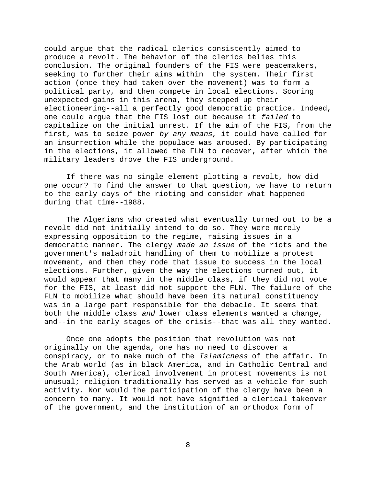could argue that the radical clerics consistently aimed to produce a revolt. The behavior of the clerics belies this conclusion. The original founders of the FIS were peacemakers, seeking to further their aims within the system. Their first action (once they had taken over the movement) was to form a political party, and then compete in local elections. Scoring unexpected gains in this arena, they stepped up their electioneering--all a perfectly good democratic practice. Indeed, one could argue that the FIS lost out because it failed to capitalize on the initial unrest. If the aim of the FIS, from the first, was to seize power by any means, it could have called for an insurrection while the populace was aroused. By participating in the elections, it allowed the FLN to recover, after which the military leaders drove the FIS underground.

If there was no single element plotting a revolt, how did one occur? To find the answer to that question, we have to return to the early days of the rioting and consider what happened during that time--1988.

The Algerians who created what eventually turned out to be a revolt did not initially intend to do so. They were merely expressing opposition to the regime, raising issues in a democratic manner. The clergy made an issue of the riots and the government's maladroit handling of them to mobilize a protest movement, and then they rode that issue to success in the local elections. Further, given the way the elections turned out, it would appear that many in the middle class, if they did not vote for the FIS, at least did not support the FLN. The failure of the FLN to mobilize what should have been its natural constituency was in a large part responsible for the debacle. It seems that both the middle class and lower class elements wanted a change, and--in the early stages of the crisis--that was all they wanted.

Once one adopts the position that revolution was not originally on the agenda, one has no need to discover a conspiracy, or to make much of the Islamicness of the affair. In the Arab world (as in black America, and in Catholic Central and South America), clerical involvement in protest movements is not unusual; religion traditionally has served as a vehicle for such activity. Nor would the participation of the clergy have been a concern to many. It would not have signified a clerical takeover of the government, and the institution of an orthodox form of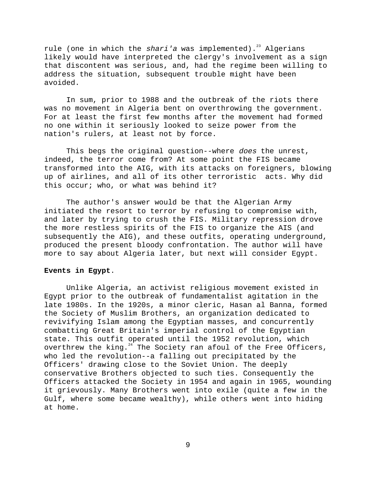rule (one in which the shari'a was implemented).<sup>23</sup> Algerians likely would have interpreted the clergy's involvement as a sign that discontent was serious, and, had the regime been willing to address the situation, subsequent trouble might have been avoided.

In sum, prior to 1988 and the outbreak of the riots there was no movement in Algeria bent on overthrowing the government. For at least the first few months after the movement had formed no one within it seriously looked to seize power from the nation's rulers, at least not by force.

This begs the original question--where does the unrest, indeed, the terror come from? At some point the FIS became transformed into the AIG, with its attacks on foreigners, blowing up of airlines, and all of its other terroristic acts. Why did this occur; who, or what was behind it?

The author's answer would be that the Algerian Army initiated the resort to terror by refusing to compromise with, and later by trying to crush the FIS. Military repression drove the more restless spirits of the FIS to organize the AIS (and subsequently the AIG), and these outfits, operating underground, produced the present bloody confrontation. The author will have more to say about Algeria later, but next will consider Egypt.

### **Events in Egypt**.

Unlike Algeria, an activist religious movement existed in Egypt prior to the outbreak of fundamentalist agitation in the late 1980s. In the 1920s, a minor cleric, Hasan al Banna, formed the Society of Muslim Brothers, an organization dedicated to revivifying Islam among the Egyptian masses, and concurrently combatting Great Britain's imperial control of the Egyptian state. This outfit operated until the 1952 revolution, which overthrew the king. $24$  The Society ran afoul of the Free Officers, who led the revolution--a falling out precipitated by the Officers' drawing close to the Soviet Union. The deeply conservative Brothers objected to such ties. Consequently the Officers attacked the Society in 1954 and again in 1965, wounding it grievously. Many Brothers went into exile (quite a few in the Gulf, where some became wealthy), while others went into hiding at home.

9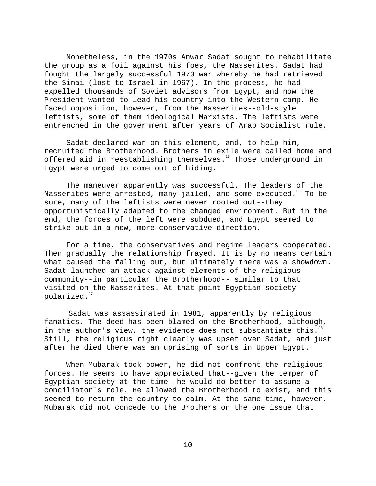Nonetheless, in the 1970s Anwar Sadat sought to rehabilitate the group as a foil against his foes, the Nasserites. Sadat had fought the largely successful 1973 war whereby he had retrieved the Sinai (lost to Israel in 1967). In the process, he had expelled thousands of Soviet advisors from Egypt, and now the President wanted to lead his country into the Western camp. He faced opposition, however, from the Nasserites--old-style leftists, some of them ideological Marxists. The leftists were entrenched in the government after years of Arab Socialist rule.

Sadat declared war on this element, and, to help him, recruited the Brotherhood. Brothers in exile were called home and offered aid in reestablishing themselves.<sup>25</sup> Those underground in Egypt were urged to come out of hiding.

The maneuver apparently was successful. The leaders of the Nasserites were arrested, many jailed, and some executed.<sup>26</sup> To be sure, many of the leftists were never rooted out--they opportunistically adapted to the changed environment. But in the end, the forces of the left were subdued, and Egypt seemed to strike out in a new, more conservative direction.

For a time, the conservatives and regime leaders cooperated. Then gradually the relationship frayed. It is by no means certain what caused the falling out, but ultimately there was a showdown. Sadat launched an attack against elements of the religious community--in particular the Brotherhood-- similar to that visited on the Nasserites. At that point Egyptian society polarized. $27$ 

Sadat was assassinated in 1981, apparently by religious fanatics. The deed has been blamed on the Brotherhood, although, in the author's view, the evidence does not substantiate this. $28$ Still, the religious right clearly was upset over Sadat, and just after he died there was an uprising of sorts in Upper Egypt.

When Mubarak took power, he did not confront the religious forces. He seems to have appreciated that--given the temper of Egyptian society at the time--he would do better to assume a conciliator's role. He allowed the Brotherhood to exist, and this seemed to return the country to calm. At the same time, however, Mubarak did not concede to the Brothers on the one issue that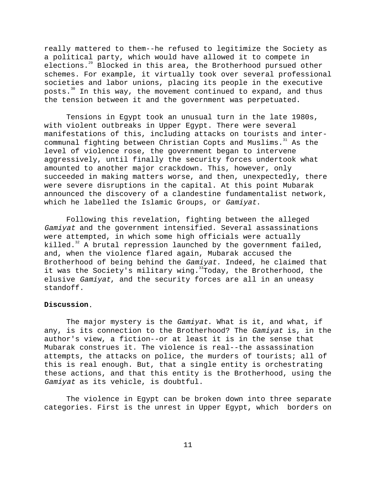really mattered to them--he refused to legitimize the Society as a political party, which would have allowed it to compete in elections.<sup>29</sup> Blocked in this area, the Brotherhood pursued other schemes. For example, it virtually took over several professional societies and labor unions, placing its people in the executive posts. $30$  In this way, the movement continued to expand, and thus the tension between it and the government was perpetuated.

Tensions in Egypt took an unusual turn in the late 1980s, with violent outbreaks in Upper Egypt. There were several manifestations of this, including attacks on tourists and intercommunal fighting between Christian Copts and Muslims.<sup>31</sup> As the level of violence rose, the government began to intervene aggressively, until finally the security forces undertook what amounted to another major crackdown. This, however, only succeeded in making matters worse, and then, unexpectedly, there were severe disruptions in the capital. At this point Mubarak announced the discovery of a clandestine fundamentalist network, which he labelled the Islamic Groups, or Gamiyat.

Following this revelation, fighting between the alleged Gamiyat and the government intensified. Several assassinations were attempted, in which some high officials were actually killed.<sup>32</sup> A brutal repression launched by the government failed, and, when the violence flared again, Mubarak accused the Brotherhood of being behind the Gamiyat. Indeed, he claimed that it was the Society's military wing.<sup>33</sup>Today, the Brotherhood, the elusive Gamiyat, and the security forces are all in an uneasy standoff.

### **Discussion**.

The major mystery is the Gamiyat. What is it, and what, if any, is its connection to the Brotherhood? The Gamiyat is, in the author's view, a fiction--or at least it is in the sense that Mubarak construes it. The violence is real--the assassination attempts, the attacks on police, the murders of tourists; all of this is real enough. But, that a single entity is orchestrating these actions, and that this entity is the Brotherhood, using the Gamiyat as its vehicle, is doubtful.

The violence in Egypt can be broken down into three separate categories. First is the unrest in Upper Egypt, which borders on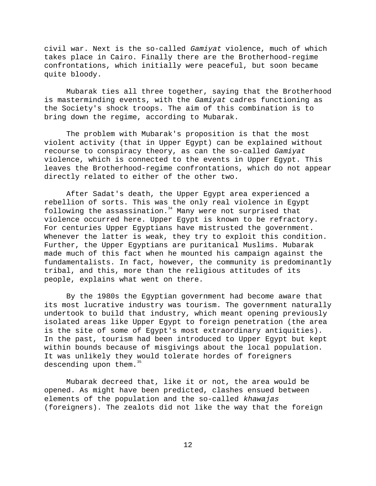civil war. Next is the so-called Gamiyat violence, much of which takes place in Cairo. Finally there are the Brotherhood-regime confrontations, which initially were peaceful, but soon became quite bloody.

Mubarak ties all three together, saying that the Brotherhood is masterminding events, with the Gamiyat cadres functioning as the Society's shock troops. The aim of this combination is to bring down the regime, according to Mubarak.

The problem with Mubarak's proposition is that the most violent activity (that in Upper Egypt) can be explained without recourse to conspiracy theory, as can the so-called Gamiyat violence, which is connected to the events in Upper Egypt. This leaves the Brotherhood-regime confrontations, which do not appear directly related to either of the other two.

After Sadat's death, the Upper Egypt area experienced a rebellion of sorts. This was the only real violence in Egypt following the assassination.<sup>34</sup> Many were not surprised that violence occurred here. Upper Egypt is known to be refractory. For centuries Upper Egyptians have mistrusted the government. Whenever the latter is weak, they try to exploit this condition. Further, the Upper Egyptians are puritanical Muslims. Mubarak made much of this fact when he mounted his campaign against the fundamentalists. In fact, however, the community is predominantly tribal, and this, more than the religious attitudes of its people, explains what went on there.

By the 1980s the Egyptian government had become aware that its most lucrative industry was tourism. The government naturally undertook to build that industry, which meant opening previously isolated areas like Upper Egypt to foreign penetration (the area is the site of some of Egypt's most extraordinary antiquities). In the past, tourism had been introduced to Upper Egypt but kept within bounds because of misgivings about the local population. It was unlikely they would tolerate hordes of foreigners descending upon them. $35$ 

Mubarak decreed that, like it or not, the area would be opened. As might have been predicted, clashes ensued between elements of the population and the so-called khawajas (foreigners). The zealots did not like the way that the foreign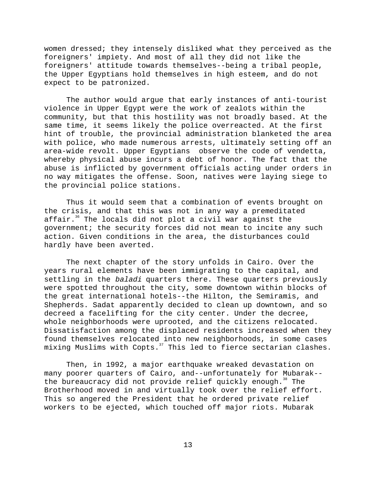women dressed; they intensely disliked what they perceived as the foreigners' impiety. And most of all they did not like the foreigners' attitude towards themselves--being a tribal people, the Upper Egyptians hold themselves in high esteem, and do not expect to be patronized.

The author would argue that early instances of anti-tourist violence in Upper Egypt were the work of zealots within the community, but that this hostility was not broadly based. At the same time, it seems likely the police overreacted. At the first hint of trouble, the provincial administration blanketed the area with police, who made numerous arrests, ultimately setting off an area-wide revolt. Upper Egyptians observe the code of vendetta, whereby physical abuse incurs a debt of honor. The fact that the abuse is inflicted by government officials acting under orders in no way mitigates the offense. Soon, natives were laying siege to the provincial police stations.

Thus it would seem that a combination of events brought on the crisis, and that this was not in any way a premeditated affair.<sup>36</sup> The locals did not plot a civil war against the government; the security forces did not mean to incite any such action. Given conditions in the area, the disturbances could hardly have been averted.

The next chapter of the story unfolds in Cairo. Over the years rural elements have been immigrating to the capital, and settling in the baladi quarters there. These quarters previously were spotted throughout the city, some downtown within blocks of the great international hotels--the Hilton, the Semiramis, and Shepherds. Sadat apparently decided to clean up downtown, and so decreed a facelifting for the city center. Under the decree, whole neighborhoods were uprooted, and the citizens relocated. Dissatisfaction among the displaced residents increased when they found themselves relocated into new neighborhoods, in some cases mixing Muslims with Copts.<sup>37</sup> This led to fierce sectarian clashes.

Then, in 1992, a major earthquake wreaked devastation on many poorer quarters of Cairo, and--unfortunately for Mubarak- the bureaucracy did not provide relief quickly enough.<sup>38</sup> The Brotherhood moved in and virtually took over the relief effort. This so angered the President that he ordered private relief workers to be ejected, which touched off major riots. Mubarak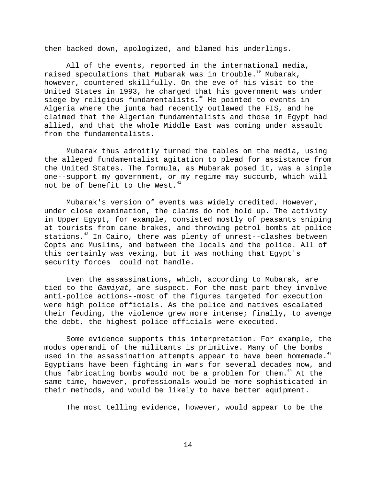then backed down, apologized, and blamed his underlings.

All of the events, reported in the international media, raised speculations that Mubarak was in trouble.<sup>39</sup> Mubarak, however, countered skillfully. On the eve of his visit to the United States in 1993, he charged that his government was under siege by religious fundamentalists.<sup>40</sup> He pointed to events in Algeria where the junta had recently outlawed the FIS, and he claimed that the Algerian fundamentalists and those in Egypt had allied, and that the whole Middle East was coming under assault from the fundamentalists.

Mubarak thus adroitly turned the tables on the media, using the alleged fundamentalist agitation to plead for assistance from the United States. The formula, as Mubarak posed it, was a simple one--support my government, or my regime may succumb, which will not be of benefit to the West. $41$ 

Mubarak's version of events was widely credited. However, under close examination, the claims do not hold up. The activity in Upper Egypt, for example, consisted mostly of peasants sniping at tourists from cane brakes, and throwing petrol bombs at police stations.<sup>42</sup> In Cairo, there was plenty of unrest--clashes between Copts and Muslims, and between the locals and the police. All of this certainly was vexing, but it was nothing that Egypt's security forces could not handle.

Even the assassinations, which, according to Mubarak, are tied to the Gamiyat, are suspect. For the most part they involve anti-police actions--most of the figures targeted for execution were high police officials. As the police and natives escalated their feuding, the violence grew more intense; finally, to avenge the debt, the highest police officials were executed.

Some evidence supports this interpretation. For example, the modus operandi of the militants is primitive. Many of the bombs used in the assassination attempts appear to have been homemade. $43$ Egyptians have been fighting in wars for several decades now, and thus fabricating bombs would not be a problem for them.<sup>44</sup> At the same time, however, professionals would be more sophisticated in their methods, and would be likely to have better equipment.

The most telling evidence, however, would appear to be the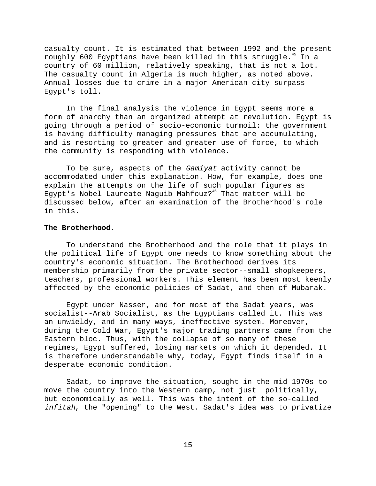casualty count. It is estimated that between 1992 and the present roughly 600 Egyptians have been killed in this struggle.<sup>45</sup> In a country of 60 million, relatively speaking, that is not a lot. The casualty count in Algeria is much higher, as noted above. Annual losses due to crime in a major American city surpass Egypt's toll.

In the final analysis the violence in Egypt seems more a form of anarchy than an organized attempt at revolution. Egypt is going through a period of socio-economic turmoil; the government is having difficulty managing pressures that are accumulating, and is resorting to greater and greater use of force, to which the community is responding with violence.

To be sure, aspects of the Gamiyat activity cannot be accommodated under this explanation. How, for example, does one explain the attempts on the life of such popular figures as Egypt's Nobel Laureate Naguib Mahfouz?<sup>46</sup> That matter will be discussed below, after an examination of the Brotherhood's role in this.

### **The Brotherhood**.

To understand the Brotherhood and the role that it plays in the political life of Egypt one needs to know something about the country's economic situation. The Brotherhood derives its membership primarily from the private sector--small shopkeepers, teachers, professional workers. This element has been most keenly affected by the economic policies of Sadat, and then of Mubarak.

Egypt under Nasser, and for most of the Sadat years, was socialist--Arab Socialist, as the Egyptians called it. This was an unwieldy, and in many ways, ineffective system. Moreover, during the Cold War, Egypt's major trading partners came from the Eastern bloc. Thus, with the collapse of so many of these regimes, Egypt suffered, losing markets on which it depended. It is therefore understandable why, today, Egypt finds itself in a desperate economic condition.

Sadat, to improve the situation, sought in the mid-1970s to move the country into the Western camp, not just politically, but economically as well. This was the intent of the so-called infitah, the "opening" to the West. Sadat's idea was to privatize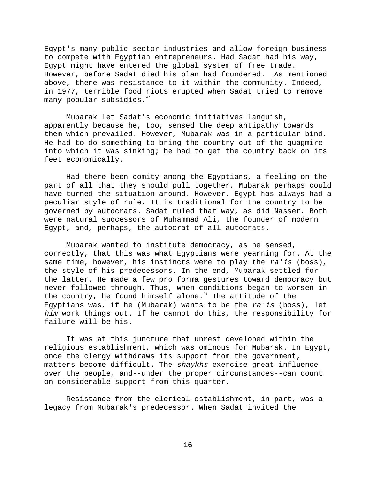Egypt's many public sector industries and allow foreign business to compete with Egyptian entrepreneurs. Had Sadat had his way, Egypt might have entered the global system of free trade. However, before Sadat died his plan had foundered. As mentioned above, there was resistance to it within the community. Indeed, in 1977, terrible food riots erupted when Sadat tried to remove many popular subsidies.<sup>47</sup>

Mubarak let Sadat's economic initiatives languish, apparently because he, too, sensed the deep antipathy towards them which prevailed. However, Mubarak was in a particular bind. He had to do something to bring the country out of the quagmire into which it was sinking; he had to get the country back on its feet economically.

Had there been comity among the Egyptians, a feeling on the part of all that they should pull together, Mubarak perhaps could have turned the situation around. However, Egypt has always had a peculiar style of rule. It is traditional for the country to be governed by autocrats. Sadat ruled that way, as did Nasser. Both were natural successors of Muhammad Ali, the founder of modern Egypt, and, perhaps, the autocrat of all autocrats.

Mubarak wanted to institute democracy, as he sensed, correctly, that this was what Egyptians were yearning for. At the same time, however, his instincts were to play the ra'is (boss), the style of his predecessors. In the end, Mubarak settled for the latter. He made a few pro forma gestures toward democracy but never followed through. Thus, when conditions began to worsen in the country, he found himself alone.<sup>48</sup> The attitude of the Egyptians was, if he (Mubarak) wants to be the  $ra'is$  (boss), let him work things out. If he cannot do this, the responsibility for failure will be his.

It was at this juncture that unrest developed within the religious establishment, which was ominous for Mubarak. In Egypt, once the clergy withdraws its support from the government, matters become difficult. The shaykhs exercise great influence over the people, and--under the proper circumstances--can count on considerable support from this quarter.

Resistance from the clerical establishment, in part, was a legacy from Mubarak's predecessor. When Sadat invited the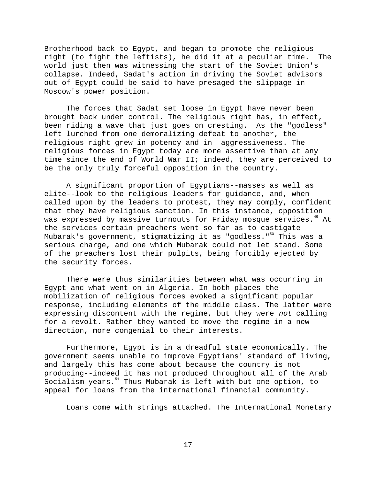Brotherhood back to Egypt, and began to promote the religious right (to fight the leftists), he did it at a peculiar time. The world just then was witnessing the start of the Soviet Union's collapse. Indeed, Sadat's action in driving the Soviet advisors out of Egypt could be said to have presaged the slippage in Moscow's power position.

The forces that Sadat set loose in Egypt have never been brought back under control. The religious right has, in effect, been riding a wave that just goes on cresting. As the "godless" left lurched from one demoralizing defeat to another, the religious right grew in potency and in aggressiveness. The religious forces in Egypt today are more assertive than at any time since the end of World War II; indeed, they are perceived to be the only truly forceful opposition in the country.

A significant proportion of Egyptians--masses as well as elite--look to the religious leaders for guidance, and, when called upon by the leaders to protest, they may comply, confident that they have religious sanction. In this instance, opposition was expressed by massive turnouts for Friday mosque services.<sup>49</sup> At the services certain preachers went so far as to castigate Mubarak's government, stigmatizing it as "godless."<sup>50</sup> This was a serious charge, and one which Mubarak could not let stand. Some of the preachers lost their pulpits, being forcibly ejected by the security forces.

There were thus similarities between what was occurring in Egypt and what went on in Algeria. In both places the mobilization of religious forces evoked a significant popular response, including elements of the middle class. The latter were expressing discontent with the regime, but they were not calling for a revolt. Rather they wanted to move the regime in a new direction, more congenial to their interests.

Furthermore, Egypt is in a dreadful state economically. The government seems unable to improve Egyptians' standard of living, and largely this has come about because the country is not producing--indeed it has not produced throughout all of the Arab Socialism years.<sup>51</sup> Thus Mubarak is left with but one option, to appeal for loans from the international financial community.

Loans come with strings attached. The International Monetary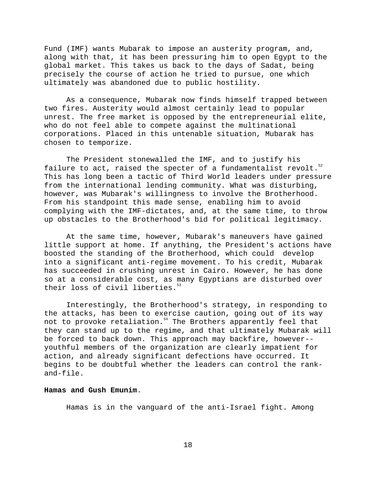Fund (IMF) wants Mubarak to impose an austerity program, and, along with that, it has been pressuring him to open Egypt to the global market. This takes us back to the days of Sadat, being precisely the course of action he tried to pursue, one which ultimately was abandoned due to public hostility.

As a consequence, Mubarak now finds himself trapped between two fires. Austerity would almost certainly lead to popular unrest. The free market is opposed by the entrepreneurial elite, who do not feel able to compete against the multinational corporations. Placed in this untenable situation, Mubarak has chosen to temporize.

The President stonewalled the IMF, and to justify his failure to act, raised the specter of a fundamentalist revolt. $52$ This has long been a tactic of Third World leaders under pressure from the international lending community. What was disturbing, however, was Mubarak's willingness to involve the Brotherhood. From his standpoint this made sense, enabling him to avoid complying with the IMF-dictates, and, at the same time, to throw up obstacles to the Brotherhood's bid for political legitimacy.

At the same time, however, Mubarak's maneuvers have gained little support at home. If anything, the President's actions have boosted the standing of the Brotherhood, which could develop into a significant anti-regime movement. To his credit, Mubarak has succeeded in crushing unrest in Cairo. However, he has done so at a considerable cost, as many Egyptians are disturbed over their loss of civil liberties.<sup>53</sup>

Interestingly, the Brotherhood's strategy, in responding to the attacks, has been to exercise caution, going out of its way not to provoke retaliation.<sup>54</sup> The Brothers apparently feel that they can stand up to the regime, and that ultimately Mubarak will be forced to back down. This approach may backfire, however- youthful members of the organization are clearly impatient for action, and already significant defections have occurred. It begins to be doubtful whether the leaders can control the rankand-file.

#### **Hamas and Gush Emunim**.

Hamas is in the vanguard of the anti-Israel fight. Among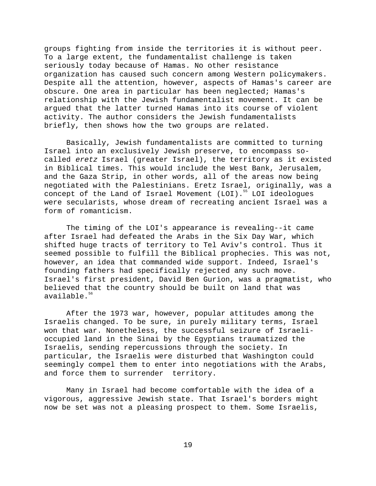groups fighting from inside the territories it is without peer. To a large extent, the fundamentalist challenge is taken seriously today because of Hamas. No other resistance organization has caused such concern among Western policymakers. Despite all the attention, however, aspects of Hamas's career are obscure. One area in particular has been neglected; Hamas's relationship with the Jewish fundamentalist movement. It can be argued that the latter turned Hamas into its course of violent activity. The author considers the Jewish fundamentalists briefly, then shows how the two groups are related.

Basically, Jewish fundamentalists are committed to turning Israel into an exclusively Jewish preserve, to encompass socalled eretz Israel (greater Israel), the territory as it existed in Biblical times. This would include the West Bank, Jerusalem, and the Gaza Strip, in other words, all of the areas now being negotiated with the Palestinians. Eretz Israel, originally, was a concept of the Land of Israel Movement (LOI). $55$  LOI ideologues were secularists, whose dream of recreating ancient Israel was a form of romanticism.

The timing of the LOI's appearance is revealing--it came after Israel had defeated the Arabs in the Six Day War, which shifted huge tracts of territory to Tel Aviv's control. Thus it seemed possible to fulfill the Biblical prophecies. This was not, however, an idea that commanded wide support. Indeed, Israel's founding fathers had specifically rejected any such move. Israel's first president, David Ben Gurion, was a pragmatist, who believed that the country should be built on land that was available.<sup>56</sup>

After the 1973 war, however, popular attitudes among the Israelis changed. To be sure, in purely military terms, Israel won that war. Nonetheless, the successful seizure of Israelioccupied land in the Sinai by the Egyptians traumatized the Israelis, sending repercussions through the society. In particular, the Israelis were disturbed that Washington could seemingly compel them to enter into negotiations with the Arabs, and force them to surrender territory.

Many in Israel had become comfortable with the idea of a vigorous, aggressive Jewish state. That Israel's borders might now be set was not a pleasing prospect to them. Some Israelis,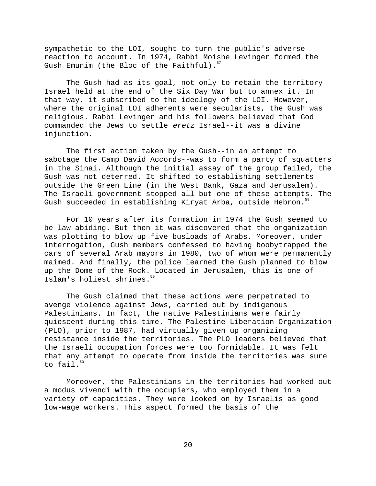sympathetic to the LOI, sought to turn the public's adverse reaction to account. In 1974, Rabbi Moishe Levinger formed the Gush Emunim (the Bloc of the Faithful).<sup>57</sup>

The Gush had as its goal, not only to retain the territory Israel held at the end of the Six Day War but to annex it. In that way, it subscribed to the ideology of the LOI. However, where the original LOI adherents were secularists, the Gush was religious. Rabbi Levinger and his followers believed that God commanded the Jews to settle eretz Israel--it was a divine injunction.

The first action taken by the Gush--in an attempt to sabotage the Camp David Accords--was to form a party of squatters in the Sinai. Although the initial assay of the group failed, the Gush was not deterred. It shifted to establishing settlements outside the Green Line (in the West Bank, Gaza and Jerusalem). The Israeli government stopped all but one of these attempts. The Gush succeeded in establishing Kiryat Arba, outside Hebron.<sup>58</sup>

For 10 years after its formation in 1974 the Gush seemed to be law abiding. But then it was discovered that the organization was plotting to blow up five busloads of Arabs. Moreover, under interrogation, Gush members confessed to having boobytrapped the cars of several Arab mayors in 1980, two of whom were permanently maimed. And finally, the police learned the Gush planned to blow up the Dome of the Rock. Located in Jerusalem, this is one of Islam's holiest shrines.<sup>59</sup>

The Gush claimed that these actions were perpetrated to avenge violence against Jews, carried out by indigenous Palestinians. In fact, the native Palestinians were fairly quiescent during this time. The Palestine Liberation Organization (PLO), prior to 1987, had virtually given up organizing resistance inside the territories. The PLO leaders believed that the Israeli occupation forces were too formidable. It was felt that any attempt to operate from inside the territories was sure to fail. $60$ 

Moreover, the Palestinians in the territories had worked out a modus vivendi with the occupiers, who employed them in a variety of capacities. They were looked on by Israelis as good low-wage workers. This aspect formed the basis of the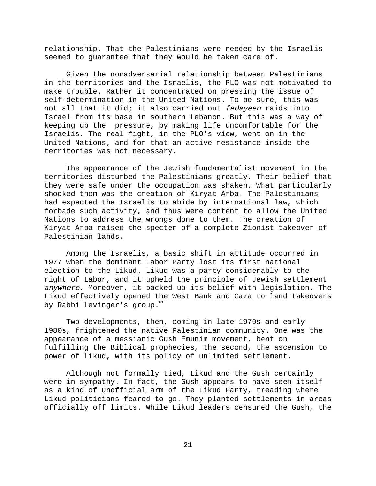relationship. That the Palestinians were needed by the Israelis seemed to guarantee that they would be taken care of.

Given the nonadversarial relationship between Palestinians in the territories and the Israelis, the PLO was not motivated to make trouble. Rather it concentrated on pressing the issue of self-determination in the United Nations. To be sure, this was not all that it did; it also carried out fedayeen raids into Israel from its base in southern Lebanon. But this was a way of keeping up the pressure, by making life uncomfortable for the Israelis. The real fight, in the PLO's view, went on in the United Nations, and for that an active resistance inside the territories was not necessary.

The appearance of the Jewish fundamentalist movement in the territories disturbed the Palestinians greatly. Their belief that they were safe under the occupation was shaken. What particularly shocked them was the creation of Kiryat Arba. The Palestinians had expected the Israelis to abide by international law, which forbade such activity, and thus were content to allow the United Nations to address the wrongs done to them. The creation of Kiryat Arba raised the specter of a complete Zionist takeover of Palestinian lands.

Among the Israelis, a basic shift in attitude occurred in 1977 when the dominant Labor Party lost its first national election to the Likud. Likud was a party considerably to the right of Labor, and it upheld the principle of Jewish settlement anywhere. Moreover, it backed up its belief with legislation. The Likud effectively opened the West Bank and Gaza to land takeovers by Rabbi Levinger's group.<sup>61</sup>

Two developments, then, coming in late 1970s and early 1980s, frightened the native Palestinian community. One was the appearance of a messianic Gush Emunim movement, bent on fulfilling the Biblical prophecies, the second, the ascension to power of Likud, with its policy of unlimited settlement.

Although not formally tied, Likud and the Gush certainly were in sympathy. In fact, the Gush appears to have seen itself as a kind of unofficial arm of the Likud Party, treading where Likud politicians feared to go. They planted settlements in areas officially off limits. While Likud leaders censured the Gush, the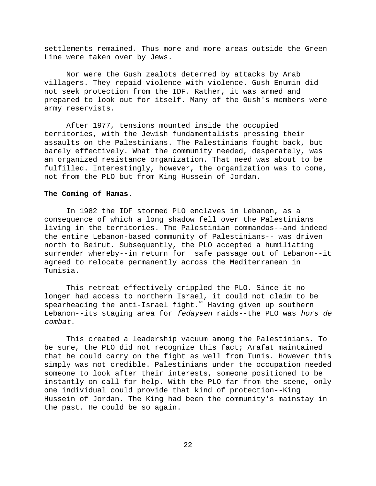settlements remained. Thus more and more areas outside the Green Line were taken over by Jews.

Nor were the Gush zealots deterred by attacks by Arab villagers. They repaid violence with violence. Gush Enumin did not seek protection from the IDF. Rather, it was armed and prepared to look out for itself. Many of the Gush's members were army reservists.

After 1977, tensions mounted inside the occupied territories, with the Jewish fundamentalists pressing their assaults on the Palestinians. The Palestinians fought back, but barely effectively. What the community needed, desperately, was an organized resistance organization. That need was about to be fulfilled. Interestingly, however, the organization was to come, not from the PLO but from King Hussein of Jordan.

#### **The Coming of Hamas**.

In 1982 the IDF stormed PLO enclaves in Lebanon, as a consequence of which a long shadow fell over the Palestinians living in the territories. The Palestinian commandos--and indeed the entire Lebanon-based community of Palestinians-- was driven north to Beirut. Subsequently, the PLO accepted a humiliating surrender whereby--in return for safe passage out of Lebanon--it agreed to relocate permanently across the Mediterranean in Tunisia.

This retreat effectively crippled the PLO. Since it no longer had access to northern Israel, it could not claim to be spearheading the anti-Israel fight.<sup>62</sup> Having given up southern Lebanon--its staging area for fedayeen raids--the PLO was hors de combat.

This created a leadership vacuum among the Palestinians. To be sure, the PLO did not recognize this fact; Arafat maintained that he could carry on the fight as well from Tunis. However this simply was not credible. Palestinians under the occupation needed someone to look after their interests, someone positioned to be instantly on call for help. With the PLO far from the scene, only one individual could provide that kind of protection--King Hussein of Jordan. The King had been the community's mainstay in the past. He could be so again.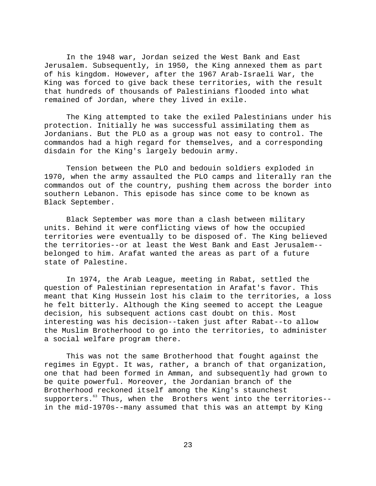In the 1948 war, Jordan seized the West Bank and East Jerusalem. Subsequently, in 1950, the King annexed them as part of his kingdom. However, after the 1967 Arab-Israeli War, the King was forced to give back these territories, with the result that hundreds of thousands of Palestinians flooded into what remained of Jordan, where they lived in exile.

The King attempted to take the exiled Palestinians under his protection. Initially he was successful assimilating them as Jordanians. But the PLO as a group was not easy to control. The commandos had a high regard for themselves, and a corresponding disdain for the King's largely bedouin army.

Tension between the PLO and bedouin soldiers exploded in 1970, when the army assaulted the PLO camps and literally ran the commandos out of the country, pushing them across the border into southern Lebanon. This episode has since come to be known as Black September.

Black September was more than a clash between military units. Behind it were conflicting views of how the occupied territories were eventually to be disposed of. The King believed the territories--or at least the West Bank and East Jerusalem- belonged to him. Arafat wanted the areas as part of a future state of Palestine.

In 1974, the Arab League, meeting in Rabat, settled the question of Palestinian representation in Arafat's favor. This meant that King Hussein lost his claim to the territories, a loss he felt bitterly. Although the King seemed to accept the League decision, his subsequent actions cast doubt on this. Most interesting was his decision--taken just after Rabat--to allow the Muslim Brotherhood to go into the territories, to administer a social welfare program there.

This was not the same Brotherhood that fought against the regimes in Egypt. It was, rather, a branch of that organization, one that had been formed in Amman, and subsequently had grown to be quite powerful. Moreover, the Jordanian branch of the Brotherhood reckoned itself among the King's staunchest supporters.<sup>63</sup> Thus, when the Brothers went into the territories-in the mid-1970s--many assumed that this was an attempt by King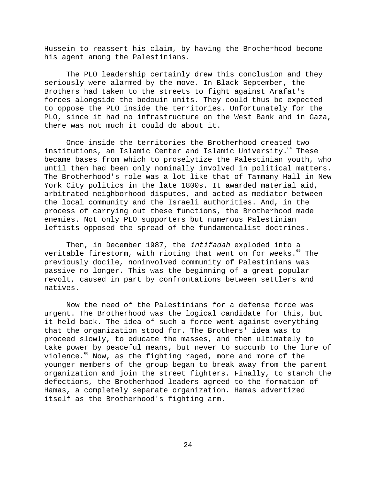Hussein to reassert his claim, by having the Brotherhood become his agent among the Palestinians.

The PLO leadership certainly drew this conclusion and they seriously were alarmed by the move. In Black September, the Brothers had taken to the streets to fight against Arafat's forces alongside the bedouin units. They could thus be expected to oppose the PLO inside the territories. Unfortunately for the PLO, since it had no infrastructure on the West Bank and in Gaza, there was not much it could do about it.

Once inside the territories the Brotherhood created two institutions, an Islamic Center and Islamic University.<sup>64</sup> These became bases from which to proselytize the Palestinian youth, who until then had been only nominally involved in political matters. The Brotherhood's role was a lot like that of Tammany Hall in New York City politics in the late 1800s. It awarded material aid, arbitrated neighborhood disputes, and acted as mediator between the local community and the Israeli authorities. And, in the process of carrying out these functions, the Brotherhood made enemies. Not only PLO supporters but numerous Palestinian leftists opposed the spread of the fundamentalist doctrines.

Then, in December 1987, the intifadah exploded into a veritable firestorm, with rioting that went on for weeks.<sup>65</sup> The previously docile, noninvolved community of Palestinians was passive no longer. This was the beginning of a great popular revolt, caused in part by confrontations between settlers and natives.

Now the need of the Palestinians for a defense force was urgent. The Brotherhood was the logical candidate for this, but it held back. The idea of such a force went against everything that the organization stood for. The Brothers' idea was to proceed slowly, to educate the masses, and then ultimately to take power by peaceful means, but never to succumb to the lure of violence.<sup>66</sup> Now, as the fighting raged, more and more of the younger members of the group began to break away from the parent organization and join the street fighters. Finally, to stanch the defections, the Brotherhood leaders agreed to the formation of Hamas, a completely separate organization. Hamas advertized itself as the Brotherhood's fighting arm.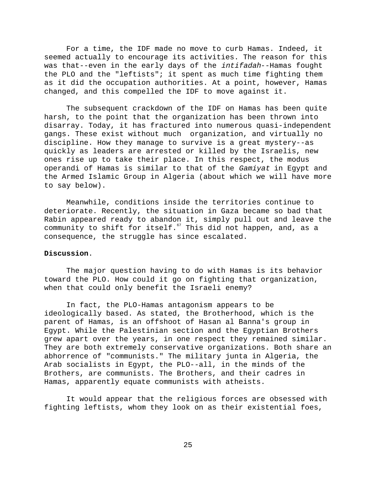For a time, the IDF made no move to curb Hamas. Indeed, it seemed actually to encourage its activities. The reason for this was that--even in the early days of the *intifadah*--Hamas fought the PLO and the "leftists"; it spent as much time fighting them as it did the occupation authorities. At a point, however, Hamas changed, and this compelled the IDF to move against it.

The subsequent crackdown of the IDF on Hamas has been quite harsh, to the point that the organization has been thrown into disarray. Today, it has fractured into numerous quasi-independent gangs. These exist without much organization, and virtually no discipline. How they manage to survive is a great mystery--as quickly as leaders are arrested or killed by the Israelis, new ones rise up to take their place. In this respect, the modus operandi of Hamas is similar to that of the Gamiyat in Egypt and the Armed Islamic Group in Algeria (about which we will have more to say below).

Meanwhile, conditions inside the territories continue to deteriorate. Recently, the situation in Gaza became so bad that Rabin appeared ready to abandon it, simply pull out and leave the community to shift for itself. $67$  This did not happen, and, as a consequence, the struggle has since escalated.

### **Discussion**.

The major question having to do with Hamas is its behavior toward the PLO. How could it go on fighting that organization, when that could only benefit the Israeli enemy?

In fact, the PLO-Hamas antagonism appears to be ideologically based. As stated, the Brotherhood, which is the parent of Hamas, is an offshoot of Hasan al Banna's group in Egypt. While the Palestinian section and the Egyptian Brothers grew apart over the years, in one respect they remained similar. They are both extremely conservative organizations. Both share an abhorrence of "communists." The military junta in Algeria, the Arab socialists in Egypt, the PLO--all, in the minds of the Brothers, are communists. The Brothers, and their cadres in Hamas, apparently equate communists with atheists.

It would appear that the religious forces are obsessed with fighting leftists, whom they look on as their existential foes,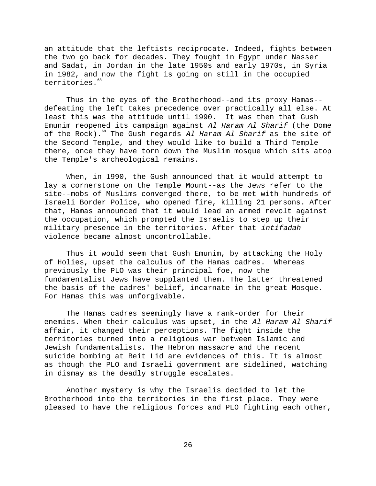an attitude that the leftists reciprocate. Indeed, fights between the two go back for decades. They fought in Egypt under Nasser and Sadat, in Jordan in the late 1950s and early 1970s, in Syria in 1982, and now the fight is going on still in the occupied territories.<sup>68</sup>

Thus in the eyes of the Brotherhood--and its proxy Hamas- defeating the left takes precedence over practically all else. At least this was the attitude until 1990. It was then that Gush Emunim reopened its campaign against Al Haram Al Sharif (the Dome of the Rock).<sup>69</sup> The Gush regards Al Haram Al Sharif as the site of the Second Temple, and they would like to build a Third Temple there, once they have torn down the Muslim mosque which sits atop the Temple's archeological remains.

When, in 1990, the Gush announced that it would attempt to lay a cornerstone on the Temple Mount--as the Jews refer to the site--mobs of Muslims converged there, to be met with hundreds of Israeli Border Police, who opened fire, killing 21 persons. After that, Hamas announced that it would lead an armed revolt against the occupation, which prompted the Israelis to step up their military presence in the territories. After that intifadah violence became almost uncontrollable.

Thus it would seem that Gush Emunim, by attacking the Holy of Holies, upset the calculus of the Hamas cadres. Whereas previously the PLO was their principal foe, now the fundamentalist Jews have supplanted them. The latter threatened the basis of the cadres' belief, incarnate in the great Mosque. For Hamas this was unforgivable.

The Hamas cadres seemingly have a rank-order for their enemies. When their calculus was upset, in the Al Haram Al Sharif affair, it changed their perceptions. The fight inside the territories turned into a religious war between Islamic and Jewish fundamentalists. The Hebron massacre and the recent suicide bombing at Beit Lid are evidences of this. It is almost as though the PLO and Israeli government are sidelined, watching in dismay as the deadly struggle escalates.

Another mystery is why the Israelis decided to let the Brotherhood into the territories in the first place. They were pleased to have the religious forces and PLO fighting each other,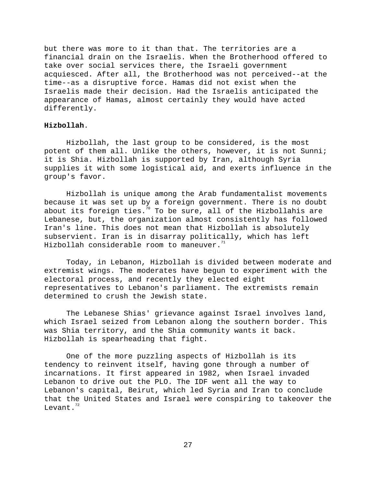but there was more to it than that. The territories are a financial drain on the Israelis. When the Brotherhood offered to take over social services there, the Israeli government acquiesced. After all, the Brotherhood was not perceived--at the time--as a disruptive force. Hamas did not exist when the Israelis made their decision. Had the Israelis anticipated the appearance of Hamas, almost certainly they would have acted differently.

### **Hizbollah**.

Hizbollah, the last group to be considered, is the most potent of them all. Unlike the others, however, it is not Sunni; it is Shia. Hizbollah is supported by Iran, although Syria supplies it with some logistical aid, and exerts influence in the group's favor.

Hizbollah is unique among the Arab fundamentalist movements because it was set up by a foreign government. There is no doubt about its foreign ties.<sup>70</sup> To be sure, all of the Hizbollahis are Lebanese, but, the organization almost consistently has followed Iran's line. This does not mean that Hizbollah is absolutely subservient. Iran is in disarray politically, which has left Hizbollah considerable room to maneuver. $1$ 

Today, in Lebanon, Hizbollah is divided between moderate and extremist wings. The moderates have begun to experiment with the electoral process, and recently they elected eight representatives to Lebanon's parliament. The extremists remain determined to crush the Jewish state.

The Lebanese Shias' grievance against Israel involves land, which Israel seized from Lebanon along the southern border. This was Shia territory, and the Shia community wants it back. Hizbollah is spearheading that fight.

One of the more puzzling aspects of Hizbollah is its tendency to reinvent itself, having gone through a number of incarnations. It first appeared in 1982, when Israel invaded Lebanon to drive out the PLO. The IDF went all the way to Lebanon's capital, Beirut, which led Syria and Iran to conclude that the United States and Israel were conspiring to takeover the Levant. $72$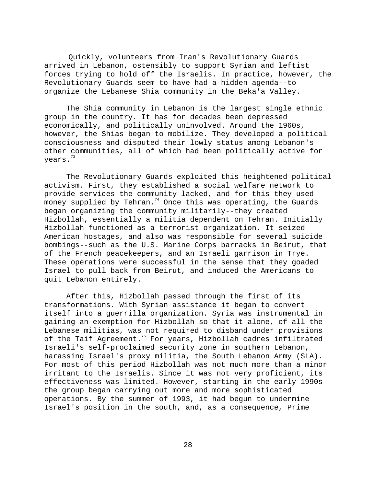Quickly, volunteers from Iran's Revolutionary Guards arrived in Lebanon, ostensibly to support Syrian and leftist forces trying to hold off the Israelis. In practice, however, the Revolutionary Guards seem to have had a hidden agenda--to organize the Lebanese Shia community in the Beka'a Valley.

The Shia community in Lebanon is the largest single ethnic group in the country. It has for decades been depressed economically, and politically uninvolved. Around the 1960s, however, the Shias began to mobilize. They developed a political consciousness and disputed their lowly status among Lebanon's other communities, all of which had been politically active for years. $13$ 

The Revolutionary Guards exploited this heightened political activism. First, they established a social welfare network to provide services the community lacked, and for this they used money supplied by Tehran.<sup>74</sup> Once this was operating, the Guards began organizing the community militarily--they created Hizbollah, essentially a militia dependent on Tehran. Initially Hizbollah functioned as a terrorist organization. It seized American hostages, and also was responsible for several suicide bombings--such as the U.S. Marine Corps barracks in Beirut, that of the French peacekeepers, and an Israeli garrison in Trye. These operations were successful in the sense that they goaded Israel to pull back from Beirut, and induced the Americans to quit Lebanon entirely.

After this, Hizbollah passed through the first of its transformations. With Syrian assistance it began to convert itself into a guerrilla organization. Syria was instrumental in gaining an exemption for Hizbollah so that it alone, of all the Lebanese militias, was not required to disband under provisions of the Taif Agreement.<sup>75</sup> For years, Hizbollah cadres infiltrated Israeli's self-proclaimed security zone in southern Lebanon, harassing Israel's proxy militia, the South Lebanon Army (SLA). For most of this period Hizbollah was not much more than a minor irritant to the Israelis. Since it was not very proficient, its effectiveness was limited. However, starting in the early 1990s the group began carrying out more and more sophisticated operations. By the summer of 1993, it had begun to undermine Israel's position in the south, and, as a consequence, Prime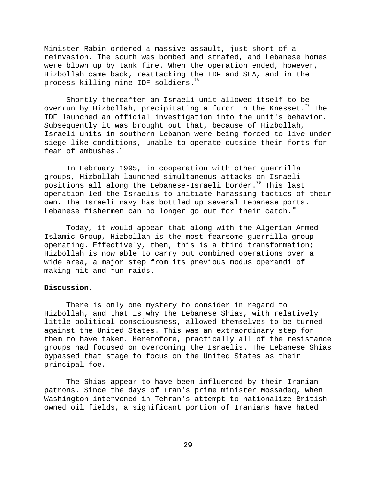Minister Rabin ordered a massive assault, just short of a reinvasion. The south was bombed and strafed, and Lebanese homes were blown up by tank fire. When the operation ended, however, Hizbollah came back, reattacking the IDF and SLA, and in the process killing nine IDF soldiers.<sup>76</sup>

Shortly thereafter an Israeli unit allowed itself to be overrun by Hizbollah, precipitating a furor in the Knesset.<sup>77</sup> The IDF launched an official investigation into the unit's behavior. Subsequently it was brought out that, because of Hizbollah, Israeli units in southern Lebanon were being forced to live under siege-like conditions, unable to operate outside their forts for fear of ambushes. $18^{\circ}$ 

In February 1995, in cooperation with other guerrilla groups, Hizbollah launched simultaneous attacks on Israeli positions all along the Lebanese-Israeli border.<sup>79</sup> This last operation led the Israelis to initiate harassing tactics of their own. The Israeli navy has bottled up several Lebanese ports. Lebanese fishermen can no longer go out for their catch.<sup>80</sup>

Today, it would appear that along with the Algerian Armed Islamic Group, Hizbollah is the most fearsome guerrilla group operating. Effectively, then, this is a third transformation; Hizbollah is now able to carry out combined operations over a wide area, a major step from its previous modus operandi of making hit-and-run raids.

## **Discussion**.

There is only one mystery to consider in regard to Hizbollah, and that is why the Lebanese Shias, with relatively little political consciousness, allowed themselves to be turned against the United States. This was an extraordinary step for them to have taken. Heretofore, practically all of the resistance groups had focused on overcoming the Israelis. The Lebanese Shias bypassed that stage to focus on the United States as their principal foe.

The Shias appear to have been influenced by their Iranian patrons. Since the days of Iran's prime minister Mossadeq, when Washington intervened in Tehran's attempt to nationalize Britishowned oil fields, a significant portion of Iranians have hated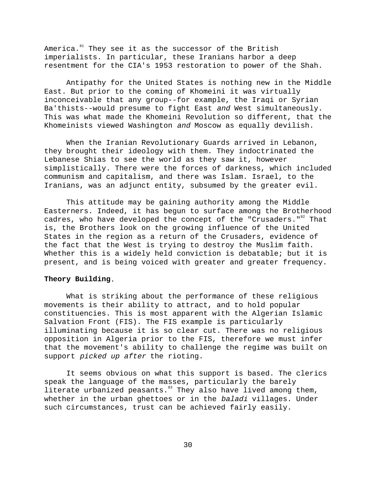America. $81$  They see it as the successor of the British imperialists. In particular, these Iranians harbor a deep resentment for the CIA's 1953 restoration to power of the Shah.

Antipathy for the United States is nothing new in the Middle East. But prior to the coming of Khomeini it was virtually inconceivable that any group--for example, the Iraqi or Syrian Ba'thists--would presume to fight East and West simultaneously. This was what made the Khomeini Revolution so different, that the Khomeinists viewed Washington and Moscow as equally devilish.

When the Iranian Revolutionary Guards arrived in Lebanon, they brought their ideology with them. They indoctrinated the Lebanese Shias to see the world as they saw it, however simplistically. There were the forces of darkness, which included communism and capitalism, and there was Islam. Israel, to the Iranians, was an adjunct entity, subsumed by the greater evil.

This attitude may be gaining authority among the Middle Easterners. Indeed, it has begun to surface among the Brotherhood cadres, who have developed the concept of the "Crusaders."<sup>82</sup> That is, the Brothers look on the growing influence of the United States in the region as a return of the Crusaders, evidence of the fact that the West is trying to destroy the Muslim faith. Whether this is a widely held conviction is debatable; but it is present, and is being voiced with greater and greater frequency.

#### **Theory Building**.

What is striking about the performance of these religious movements is their ability to attract, and to hold popular constituencies. This is most apparent with the Algerian Islamic Salvation Front (FIS). The FIS example is particularly illuminating because it is so clear cut. There was no religious opposition in Algeria prior to the FIS, therefore we must infer that the movement's ability to challenge the regime was built on support picked up after the rioting.

It seems obvious on what this support is based. The clerics speak the language of the masses, particularly the barely literate urbanized peasants.<sup>83</sup> They also have lived among them, whether in the urban ghettoes or in the baladi villages. Under such circumstances, trust can be achieved fairly easily.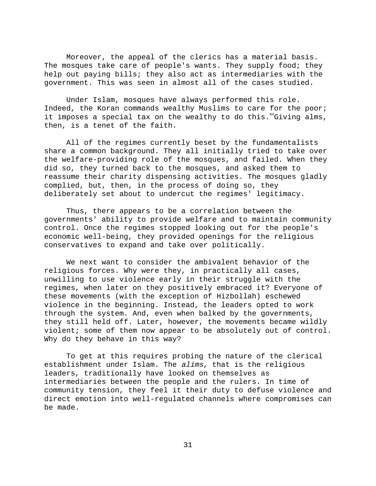Moreover, the appeal of the clerics has a material basis. The mosques take care of people's wants. They supply food; they help out paying bills; they also act as intermediaries with the government. This was seen in almost all of the cases studied.

Under Islam, mosques have always performed this role. Indeed, the Koran commands wealthy Muslims to care for the poor; it imposes a special tax on the wealthy to do this.  $^{84}$ Giving alms, then, is a tenet of the faith.

All of the regimes currently beset by the fundamentalists share a common background. They all initially tried to take over the welfare-providing role of the mosques, and failed. When they did so, they turned back to the mosques, and asked them to reassume their charity dispensing activities. The mosques gladly complied, but, then, in the process of doing so, they deliberately set about to undercut the regimes' legitimacy.

Thus, there appears to be a correlation between the governments' ability to provide welfare and to maintain community control. Once the regimes stopped looking out for the people's economic well-being, they provided openings for the religious conservatives to expand and take over politically.

We next want to consider the ambivalent behavior of the religious forces. Why were they, in practically all cases, unwilling to use violence early in their struggle with the regimes, when later on they positively embraced it? Everyone of these movements (with the exception of Hizbollah) eschewed violence in the beginning. Instead, the leaders opted to work through the system. And, even when balked by the governments, they still held off. Later, however, the movements became wildly violent; some of them now appear to be absolutely out of control. Why do they behave in this way?

To get at this requires probing the nature of the clerical establishment under Islam. The alims, that is the religious leaders, traditionally have looked on themselves as intermediaries between the people and the rulers. In time of community tension, they feel it their duty to defuse violence and direct emotion into well-regulated channels where compromises can be made.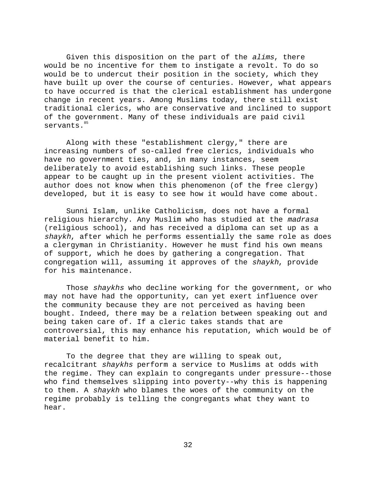Given this disposition on the part of the alims, there would be no incentive for them to instigate a revolt. To do so would be to undercut their position in the society, which they have built up over the course of centuries. However, what appears to have occurred is that the clerical establishment has undergone change in recent years. Among Muslims today, there still exist traditional clerics, who are conservative and inclined to support of the government. Many of these individuals are paid civil servants.<sup>85</sup>

Along with these "establishment clergy," there are increasing numbers of so-called free clerics, individuals who have no government ties, and, in many instances, seem deliberately to avoid establishing such links. These people appear to be caught up in the present violent activities. The author does not know when this phenomenon (of the free clergy) developed, but it is easy to see how it would have come about.

Sunni Islam, unlike Catholicism, does not have a formal religious hierarchy. Any Muslim who has studied at the madrasa (religious school), and has received a diploma can set up as a shaykh, after which he performs essentially the same role as does a clergyman in Christianity. However he must find his own means of support, which he does by gathering a congregation. That congregation will, assuming it approves of the shaykh, provide for his maintenance.

Those shaykhs who decline working for the government, or who may not have had the opportunity, can yet exert influence over the community because they are not perceived as having been bought. Indeed, there may be a relation between speaking out and being taken care of. If a cleric takes stands that are controversial, this may enhance his reputation, which would be of material benefit to him.

To the degree that they are willing to speak out, recalcitrant shaykhs perform a service to Muslims at odds with the regime. They can explain to congregants under pressure--those who find themselves slipping into poverty--why this is happening to them. A shaykh who blames the woes of the community on the regime probably is telling the congregants what they want to hear.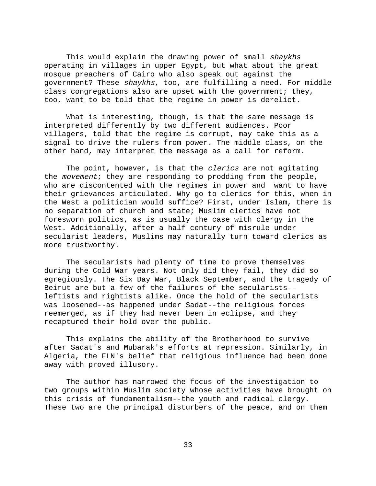This would explain the drawing power of small shaykhs operating in villages in upper Egypt, but what about the great mosque preachers of Cairo who also speak out against the government? These shaykhs, too, are fulfilling a need. For middle class congregations also are upset with the government; they, too, want to be told that the regime in power is derelict.

What is interesting, though, is that the same message is interpreted differently by two different audiences. Poor villagers, told that the regime is corrupt, may take this as a signal to drive the rulers from power. The middle class, on the other hand, may interpret the message as a call for reform.

The point, however, is that the clerics are not agitating the movement; they are responding to prodding from the people, who are discontented with the regimes in power and want to have their grievances articulated. Why go to clerics for this, when in the West a politician would suffice? First, under Islam, there is no separation of church and state; Muslim clerics have not foresworn politics, as is usually the case with clergy in the West. Additionally, after a half century of misrule under secularist leaders, Muslims may naturally turn toward clerics as more trustworthy.

The secularists had plenty of time to prove themselves during the Cold War years. Not only did they fail, they did so egregiously. The Six Day War, Black September, and the tragedy of Beirut are but a few of the failures of the secularists- leftists and rightists alike. Once the hold of the secularists was loosened--as happened under Sadat--the religious forces reemerged, as if they had never been in eclipse, and they recaptured their hold over the public.

This explains the ability of the Brotherhood to survive after Sadat's and Mubarak's efforts at repression. Similarly, in Algeria, the FLN's belief that religious influence had been done away with proved illusory.

The author has narrowed the focus of the investigation to two groups within Muslim society whose activities have brought on this crisis of fundamentalism--the youth and radical clergy. These two are the principal disturbers of the peace, and on them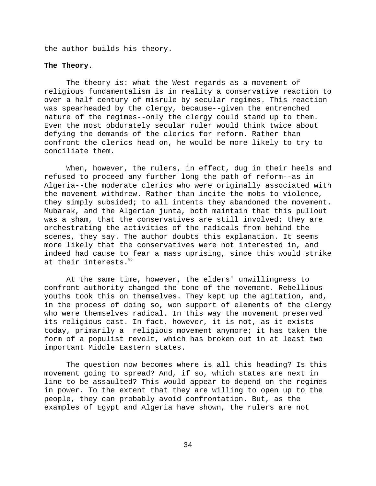the author builds his theory.

#### **The Theory**.

The theory is: what the West regards as a movement of religious fundamentalism is in reality a conservative reaction to over a half century of misrule by secular regimes. This reaction was spearheaded by the clergy, because--given the entrenched nature of the regimes--only the clergy could stand up to them. Even the most obdurately secular ruler would think twice about defying the demands of the clerics for reform. Rather than confront the clerics head on, he would be more likely to try to conciliate them.

When, however, the rulers, in effect, dug in their heels and refused to proceed any further long the path of reform--as in Algeria--the moderate clerics who were originally associated with the movement withdrew. Rather than incite the mobs to violence, they simply subsided; to all intents they abandoned the movement. Mubarak, and the Algerian junta, both maintain that this pullout was a sham, that the conservatives are still involved; they are orchestrating the activities of the radicals from behind the scenes, they say. The author doubts this explanation. It seems more likely that the conservatives were not interested in, and indeed had cause to fear a mass uprising, since this would strike at their interests.<sup>86</sup>

At the same time, however, the elders' unwillingness to confront authority changed the tone of the movement. Rebellious youths took this on themselves. They kept up the agitation, and, in the process of doing so, won support of elements of the clergy who were themselves radical. In this way the movement preserved its religious cast. In fact, however, it is not, as it exists today, primarily a religious movement anymore; it has taken the form of a populist revolt, which has broken out in at least two important Middle Eastern states.

The question now becomes where is all this heading? Is this movement going to spread? And, if so, which states are next in line to be assaulted? This would appear to depend on the regimes in power. To the extent that they are willing to open up to the people, they can probably avoid confrontation. But, as the examples of Egypt and Algeria have shown, the rulers are not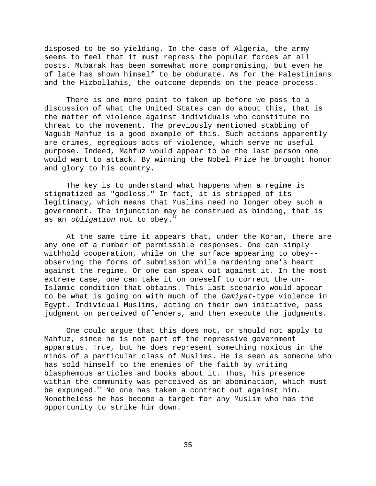disposed to be so yielding. In the case of Algeria, the army seems to feel that it must repress the popular forces at all costs. Mubarak has been somewhat more compromising, but even he of late has shown himself to be obdurate. As for the Palestinians and the Hizbollahis, the outcome depends on the peace process.

There is one more point to taken up before we pass to a discussion of what the United States can do about this, that is the matter of violence against individuals who constitute no threat to the movement. The previously mentioned stabbing of Naguib Mahfuz is a good example of this. Such actions apparently are crimes, egregious acts of violence, which serve no useful purpose. Indeed, Mahfuz would appear to be the last person one would want to attack. By winning the Nobel Prize he brought honor and glory to his country.

The key is to understand what happens when a regime is stigmatized as "godless." In fact, it is stripped of its legitimacy, which means that Muslims need no longer obey such a government. The injunction may be construed as binding, that is as an obligation not to obey.<sup>8</sup>

At the same time it appears that, under the Koran, there are any one of a number of permissible responses. One can simply withhold cooperation, while on the surface appearing to obey- observing the forms of submission while hardening one's heart against the regime. Or one can speak out against it. In the most extreme case, one can take it on oneself to correct the un-Islamic condition that obtains. This last scenario would appear to be what is going on with much of the Gamiyat-type violence in Egypt. Individual Muslims, acting on their own initiative, pass judgment on perceived offenders, and then execute the judgments.

One could argue that this does not, or should not apply to Mahfuz, since he is not part of the repressive government apparatus. True, but he does represent something noxious in the minds of a particular class of Muslims. He is seen as someone who has sold himself to the enemies of the faith by writing blasphemous articles and books about it. Thus, his presence within the community was perceived as an abomination, which must be expunged.<sup>88</sup> No one has taken a contract out against him. Nonetheless he has become a target for any Muslim who has the opportunity to strike him down.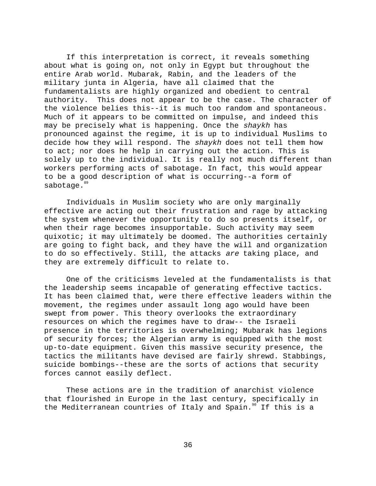If this interpretation is correct, it reveals something about what is going on, not only in Egypt but throughout the entire Arab world. Mubarak, Rabin, and the leaders of the military junta in Algeria, have all claimed that the fundamentalists are highly organized and obedient to central authority. This does not appear to be the case. The character of the violence belies this--it is much too random and spontaneous. Much of it appears to be committed on impulse, and indeed this may be precisely what is happening. Once the shaykh has pronounced against the regime, it is up to individual Muslims to decide how they will respond. The shaykh does not tell them how to act; nor does he help in carrying out the action. This is solely up to the individual. It is really not much different than workers performing acts of sabotage. In fact, this would appear to be a good description of what is occurring--a form of sabotage.<sup>89</sup>

Individuals in Muslim society who are only marginally effective are acting out their frustration and rage by attacking the system whenever the opportunity to do so presents itself, or when their rage becomes insupportable. Such activity may seem quixotic; it may ultimately be doomed. The authorities certainly are going to fight back, and they have the will and organization to do so effectively. Still, the attacks are taking place, and they are extremely difficult to relate to.

One of the criticisms leveled at the fundamentalists is that the leadership seems incapable of generating effective tactics. It has been claimed that, were there effective leaders within the movement, the regimes under assault long ago would have been swept from power. This theory overlooks the extraordinary resources on which the regimes have to draw-- the Israeli presence in the territories is overwhelming; Mubarak has legions of security forces; the Algerian army is equipped with the most up-to-date equipment. Given this massive security presence, the tactics the militants have devised are fairly shrewd. Stabbings, suicide bombings--these are the sorts of actions that security forces cannot easily deflect.

These actions are in the tradition of anarchist violence that flourished in Europe in the last century, specifically in the Mediterranean countries of Italy and Spain.<sup>90</sup> If this is a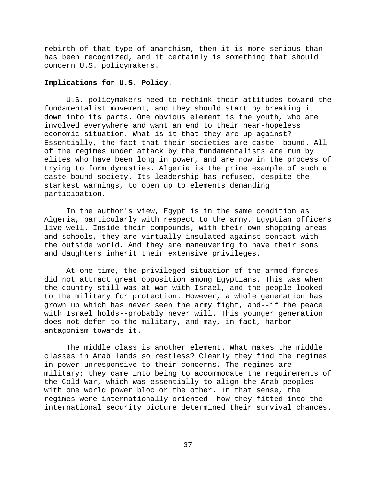rebirth of that type of anarchism, then it is more serious than has been recognized, and it certainly is something that should concern U.S. policymakers.

### **Implications for U.S. Policy**.

U.S. policymakers need to rethink their attitudes toward the fundamentalist movement, and they should start by breaking it down into its parts. One obvious element is the youth, who are involved everywhere and want an end to their near-hopeless economic situation. What is it that they are up against? Essentially, the fact that their societies are caste- bound. All of the regimes under attack by the fundamentalists are run by elites who have been long in power, and are now in the process of trying to form dynasties. Algeria is the prime example of such a caste-bound society. Its leadership has refused, despite the starkest warnings, to open up to elements demanding participation.

In the author's view, Egypt is in the same condition as Algeria, particularly with respect to the army. Egyptian officers live well. Inside their compounds, with their own shopping areas and schools, they are virtually insulated against contact with the outside world. And they are maneuvering to have their sons and daughters inherit their extensive privileges.

At one time, the privileged situation of the armed forces did not attract great opposition among Egyptians. This was when the country still was at war with Israel, and the people looked to the military for protection. However, a whole generation has grown up which has never seen the army fight, and--if the peace with Israel holds--probably never will. This younger generation does not defer to the military, and may, in fact, harbor antagonism towards it.

The middle class is another element. What makes the middle classes in Arab lands so restless? Clearly they find the regimes in power unresponsive to their concerns. The regimes are military; they came into being to accommodate the requirements of the Cold War, which was essentially to align the Arab peoples with one world power bloc or the other. In that sense, the regimes were internationally oriented--how they fitted into the international security picture determined their survival chances.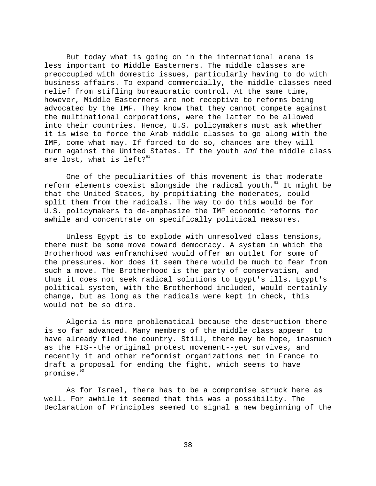But today what is going on in the international arena is less important to Middle Easterners. The middle classes are preoccupied with domestic issues, particularly having to do with business affairs. To expand commercially, the middle classes need relief from stifling bureaucratic control. At the same time, however, Middle Easterners are not receptive to reforms being advocated by the IMF. They know that they cannot compete against the multinational corporations, were the latter to be allowed into their countries. Hence, U.S. policymakers must ask whether it is wise to force the Arab middle classes to go along with the IMF, come what may. If forced to do so, chances are they will turn against the United States. If the youth and the middle class are lost, what is left? $^{91}$ 

One of the peculiarities of this movement is that moderate reform elements coexist alongside the radical youth. $92$  It might be that the United States, by propitiating the moderates, could split them from the radicals. The way to do this would be for U.S. policymakers to de-emphasize the IMF economic reforms for awhile and concentrate on specifically political measures.

Unless Egypt is to explode with unresolved class tensions, there must be some move toward democracy. A system in which the Brotherhood was enfranchised would offer an outlet for some of the pressures. Nor does it seem there would be much to fear from such a move. The Brotherhood is the party of conservatism, and thus it does not seek radical solutions to Egypt's ills. Egypt's political system, with the Brotherhood included, would certainly change, but as long as the radicals were kept in check, this would not be so dire.

Algeria is more problematical because the destruction there is so far advanced. Many members of the middle class appear to have already fled the country. Still, there may be hope, inasmuch as the FIS--the original protest movement--yet survives, and recently it and other reformist organizations met in France to draft a proposal for ending the fight, which seems to have promise.<sup>93</sup>

As for Israel, there has to be a compromise struck here as well. For awhile it seemed that this was a possibility. The Declaration of Principles seemed to signal a new beginning of the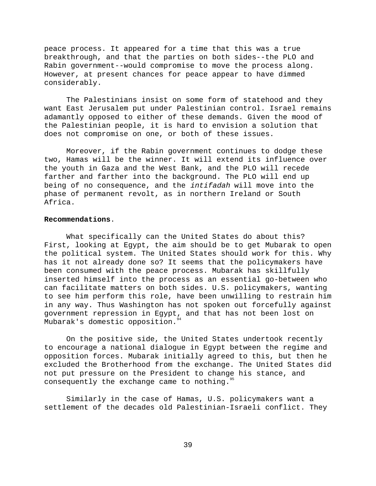peace process. It appeared for a time that this was a true breakthrough, and that the parties on both sides--the PLO and Rabin government--would compromise to move the process along. However, at present chances for peace appear to have dimmed considerably.

The Palestinians insist on some form of statehood and they want East Jerusalem put under Palestinian control. Israel remains adamantly opposed to either of these demands. Given the mood of the Palestinian people, it is hard to envision a solution that does not compromise on one, or both of these issues.

Moreover, if the Rabin government continues to dodge these two, Hamas will be the winner. It will extend its influence over the youth in Gaza and the West Bank, and the PLO will recede farther and farther into the background. The PLO will end up being of no consequence, and the intifadah will move into the phase of permanent revolt, as in northern Ireland or South Africa.

### **Recommendations**.

What specifically can the United States do about this? First, looking at Egypt, the aim should be to get Mubarak to open the political system. The United States should work for this. Why has it not already done so? It seems that the policymakers have been consumed with the peace process. Mubarak has skillfully inserted himself into the process as an essential go-between who can facilitate matters on both sides. U.S. policymakers, wanting to see him perform this role, have been unwilling to restrain him in any way. Thus Washington has not spoken out forcefully against government repression in Egypt, and that has not been lost on Mubarak's domestic opposition.

On the positive side, the United States undertook recently to encourage a national dialogue in Egypt between the regime and opposition forces. Mubarak initially agreed to this, but then he excluded the Brotherhood from the exchange. The United States did not put pressure on the President to change his stance, and consequently the exchange came to nothing. $\frac{95}{5}$ 

Similarly in the case of Hamas, U.S. policymakers want a settlement of the decades old Palestinian-Israeli conflict. They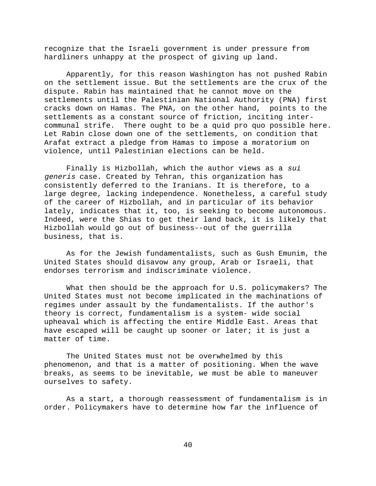recognize that the Israeli government is under pressure from hardliners unhappy at the prospect of giving up land.

Apparently, for this reason Washington has not pushed Rabin on the settlement issue. But the settlements are the crux of the dispute. Rabin has maintained that he cannot move on the settlements until the Palestinian National Authority (PNA) first cracks down on Hamas. The PNA, on the other hand, points to the settlements as a constant source of friction, inciting intercommunal strife. There ought to be a quid pro quo possible here. Let Rabin close down one of the settlements, on condition that Arafat extract a pledge from Hamas to impose a moratorium on violence, until Palestinian elections can be held.

Finally is Hizbollah, which the author views as a sui generis case. Created by Tehran, this organization has consistently deferred to the Iranians. It is therefore, to a large degree, lacking independence. Nonetheless, a careful study of the career of Hizbollah, and in particular of its behavior lately, indicates that it, too, is seeking to become autonomous. Indeed, were the Shias to get their land back, it is likely that Hizbollah would go out of business--out of the guerrilla business, that is.

As for the Jewish fundamentalists, such as Gush Emunim, the United States should disavow any group, Arab or Israeli, that endorses terrorism and indiscriminate violence.

What then should be the approach for U.S. policymakers? The United States must not become implicated in the machinations of regimes under assault by the fundamentalists. If the author's theory is correct, fundamentalism is a system- wide social upheaval which is affecting the entire Middle East. Areas that have escaped will be caught up sooner or later; it is just a matter of time.

The United States must not be overwhelmed by this phenomenon, and that is a matter of positioning. When the wave breaks, as seems to be inevitable, we must be able to maneuver ourselves to safety.

As a start, a thorough reassessment of fundamentalism is in order. Policymakers have to determine how far the influence of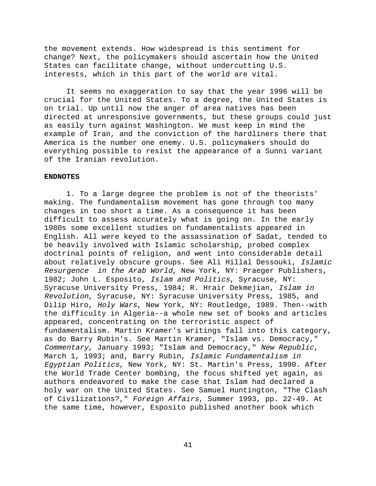the movement extends. How widespread is this sentiment for change? Next, the policymakers should ascertain how the United States can facilitate change, without undercutting U.S. interests, which in this part of the world are vital.

It seems no exaggeration to say that the year 1996 will be crucial for the United States. To a degree, the United States is on trial. Up until now the anger of area natives has been directed at unresponsive governments, but these groups could just as easily turn against Washington. We must keep in mind the example of Iran, and the conviction of the hardliners there that America is the number one enemy. U.S. policymakers should do everything possible to resist the appearance of a Sunni variant of the Iranian revolution.

#### **ENDNOTES**

1. To a large degree the problem is not of the theorists' making. The fundamentalism movement has gone through too many changes in too short a time. As a consequence it has been difficult to assess accurately what is going on. In the early 1980s some excellent studies on fundamentalists appeared in English. All were keyed to the assassination of Sadat, tended to be heavily involved with Islamic scholarship, probed complex doctrinal points of religion, and went into considerable detail about relatively obscure groups. See Ali Hillal Dessouki, Islamic Resurgence in the Arab World, New York, NY: Praeger Publishers, 1982; John L. Esposito, Islam and Politics, Syracuse, NY: Syracuse University Press, 1984; R. Hrair Dekmejian, Islam in Revolution, Syracuse, NY: Syracuse University Press, 1985, and Dilip Hiro, Holy Wars, New York, NY: Routledge, 1989. Then--with the difficulty in Algeria--a whole new set of books and articles appeared, concentrating on the terroristic aspect of fundamentalism. Martin Kramer's writings fall into this category, as do Barry Rubin's. See Martin Kramer, "Islam vs. Democracy," Commentary, January 1993; "Islam and Democracy," New Republic, March 1, 1993; and, Barry Rubin, Islamic Fundamentalism in Egyptian Politics, New York, NY: St. Martin's Press, 1990. After the World Trade Center bombing, the focus shifted yet again, as authors endeavored to make the case that Islam had declared a holy war on the United States. See Samuel Huntington, "The Clash of Civilizations?," Foreign Affairs, Summer 1993, pp. 22-49. At the same time, however, Esposito published another book which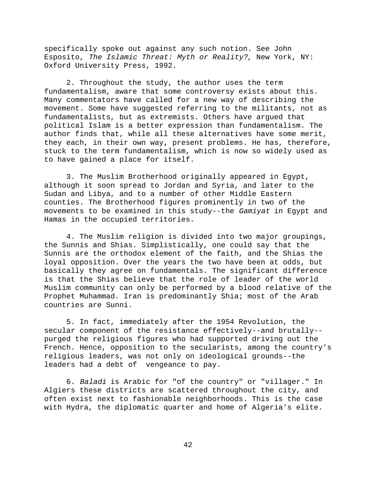specifically spoke out against any such notion. See John Esposito, The Islamic Threat: Myth or Reality?, New York, NY: Oxford University Press, 1992.

2. Throughout the study, the author uses the term fundamentalism, aware that some controversy exists about this. Many commentators have called for a new way of describing the movement. Some have suggested referring to the militants, not as fundamentalists, but as extremists. Others have argued that political Islam is a better expression than fundamentalism. The author finds that, while all these alternatives have some merit, they each, in their own way, present problems. He has, therefore, stuck to the term fundamentalism, which is now so widely used as to have gained a place for itself.

3. The Muslim Brotherhood originally appeared in Egypt, although it soon spread to Jordan and Syria, and later to the Sudan and Libya, and to a number of other Middle Eastern counties. The Brotherhood figures prominently in two of the movements to be examined in this study--the Gamiyat in Egypt and Hamas in the occupied territories.

4. The Muslim religion is divided into two major groupings, the Sunnis and Shias. Simplistically, one could say that the Sunnis are the orthodox element of the faith, and the Shias the loyal opposition. Over the years the two have been at odds, but basically they agree on fundamentals. The significant difference is that the Shias believe that the role of leader of the world Muslim community can only be performed by a blood relative of the Prophet Muhammad. Iran is predominantly Shia; most of the Arab countries are Sunni.

5. In fact, immediately after the 1954 Revolution, the secular component of the resistance effectively--and brutally- purged the religious figures who had supported driving out the French. Hence, opposition to the secularists, among the country's religious leaders, was not only on ideological grounds--the leaders had a debt of vengeance to pay.

6. Baladi is Arabic for "of the country" or "villager." In Algiers these districts are scattered throughout the city, and often exist next to fashionable neighborhoods. This is the case with Hydra, the diplomatic quarter and home of Algeria's elite.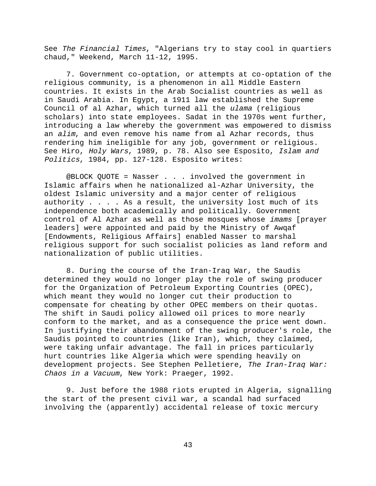See The Financial Times, "Algerians try to stay cool in quartiers chaud," Weekend, March 11-12, 1995.

7. Government co-optation, or attempts at co-optation of the religious community, is a phenomenon in all Middle Eastern countries. It exists in the Arab Socialist countries as well as in Saudi Arabia. In Egypt, a 1911 law established the Supreme Council of al Azhar, which turned all the ulama (religious scholars) into state employees. Sadat in the 1970s went further, introducing a law whereby the government was empowered to dismiss an alim, and even remove his name from al Azhar records, thus rendering him ineligible for any job, government or religious. See Hiro, Holy Wars, 1989, p. 78. Also see Esposito, Islam and Politics, 1984, pp. 127-128. Esposito writes:

@BLOCK QUOTE = Nasser . . . involved the government in Islamic affairs when he nationalized al-Azhar University, the oldest Islamic university and a major center of religious authority . . . . As a result, the university lost much of its independence both academically and politically. Government control of Al Azhar as well as those mosques whose imams [prayer leaders] were appointed and paid by the Ministry of Awqaf [Endowments, Religious Affairs] enabled Nasser to marshal religious support for such socialist policies as land reform and nationalization of public utilities.

8. During the course of the Iran-Iraq War, the Saudis determined they would no longer play the role of swing producer for the Organization of Petroleum Exporting Countries (OPEC), which meant they would no longer cut their production to compensate for cheating by other OPEC members on their quotas. The shift in Saudi policy allowed oil prices to more nearly conform to the market, and as a consequence the price went down. In justifying their abandonment of the swing producer's role, the Saudis pointed to countries (like Iran), which, they claimed, were taking unfair advantage. The fall in prices particularly hurt countries like Algeria which were spending heavily on development projects. See Stephen Pelletiere, The Iran-Iraq War: Chaos in a Vacuum, New York: Praeger, 1992.

9. Just before the 1988 riots erupted in Algeria, signalling the start of the present civil war, a scandal had surfaced involving the (apparently) accidental release of toxic mercury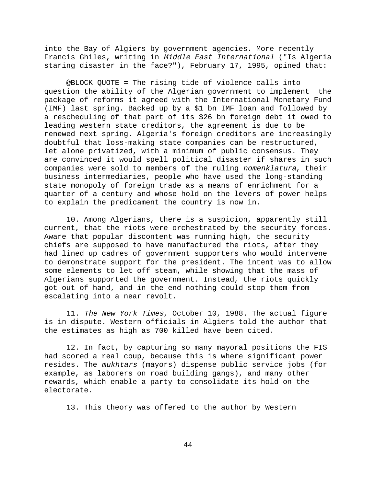into the Bay of Algiers by government agencies. More recently Francis Ghiles, writing in Middle East International ("Is Algeria staring disaster in the face?"), February 17, 1995, opined that:

@BLOCK QUOTE = The rising tide of violence calls into question the ability of the Algerian government to implement the package of reforms it agreed with the International Monetary Fund (IMF) last spring. Backed up by a \$1 bn IMF loan and followed by a rescheduling of that part of its \$26 bn foreign debt it owed to leading western state creditors, the agreement is due to be renewed next spring. Algeria's foreign creditors are increasingly doubtful that loss-making state companies can be restructured, let alone privatized, with a minimum of public consensus. They are convinced it would spell political disaster if shares in such companies were sold to members of the ruling nomenklatura, their business intermediaries, people who have used the long-standing state monopoly of foreign trade as a means of enrichment for a quarter of a century and whose hold on the levers of power helps to explain the predicament the country is now in.

10. Among Algerians, there is a suspicion, apparently still current, that the riots were orchestrated by the security forces. Aware that popular discontent was running high, the security chiefs are supposed to have manufactured the riots, after they had lined up cadres of government supporters who would intervene to demonstrate support for the president. The intent was to allow some elements to let off steam, while showing that the mass of Algerians supported the government. Instead, the riots quickly got out of hand, and in the end nothing could stop them from escalating into a near revolt.

11. The New York Times, October 10, 1988. The actual figure is in dispute. Western officials in Algiers told the author that the estimates as high as 700 killed have been cited.

12. In fact, by capturing so many mayoral positions the FIS had scored a real coup, because this is where significant power resides. The mukhtars (mayors) dispense public service jobs (for example, as laborers on road building gangs), and many other rewards, which enable a party to consolidate its hold on the electorate.

13. This theory was offered to the author by Western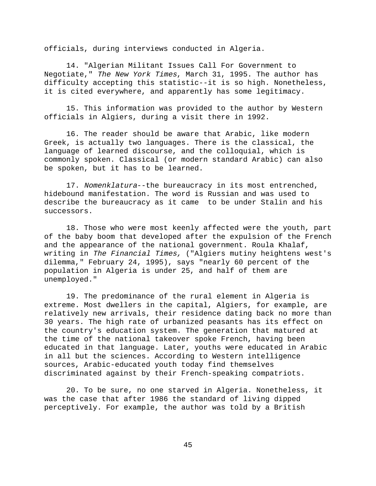officials, during interviews conducted in Algeria.

14. "Algerian Militant Issues Call For Government to Negotiate," The New York Times, March 31, 1995. The author has difficulty accepting this statistic--it is so high. Nonetheless, it is cited everywhere, and apparently has some legitimacy.

15. This information was provided to the author by Western officials in Algiers, during a visit there in 1992.

16. The reader should be aware that Arabic, like modern Greek, is actually two languages. There is the classical, the language of learned discourse, and the colloquial, which is commonly spoken. Classical (or modern standard Arabic) can also be spoken, but it has to be learned.

17. Nomenklatura--the bureaucracy in its most entrenched, hidebound manifestation. The word is Russian and was used to describe the bureaucracy as it came to be under Stalin and his successors.

18. Those who were most keenly affected were the youth, part of the baby boom that developed after the expulsion of the French and the appearance of the national government. Roula Khalaf, writing in The Financial Times, ("Algiers mutiny heightens west's dilemma," February 24, 1995), says "nearly 60 percent of the population in Algeria is under 25, and half of them are unemployed."

19. The predominance of the rural element in Algeria is extreme. Most dwellers in the capital, Algiers, for example, are relatively new arrivals, their residence dating back no more than 30 years. The high rate of urbanized peasants has its effect on the country's education system. The generation that matured at the time of the national takeover spoke French, having been educated in that language. Later, youths were educated in Arabic in all but the sciences. According to Western intelligence sources, Arabic-educated youth today find themselves discriminated against by their French-speaking compatriots.

20. To be sure, no one starved in Algeria. Nonetheless, it was the case that after 1986 the standard of living dipped perceptively. For example, the author was told by a British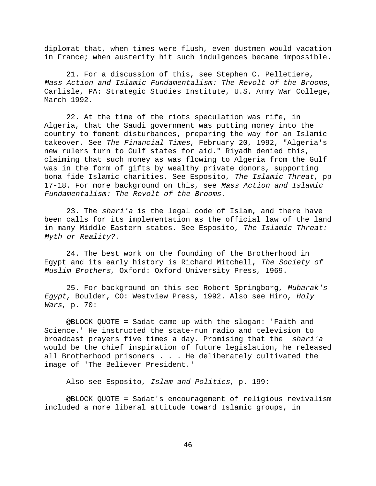diplomat that, when times were flush, even dustmen would vacation in France; when austerity hit such indulgences became impossible.

21. For a discussion of this, see Stephen C. Pelletiere, Mass Action and Islamic Fundamentalism: The Revolt of the Brooms, Carlisle, PA: Strategic Studies Institute, U.S. Army War College, March 1992.

22. At the time of the riots speculation was rife, in Algeria, that the Saudi government was putting money into the country to foment disturbances, preparing the way for an Islamic takeover. See The Financial Times, February 20, 1992, "Algeria's new rulers turn to Gulf states for aid." Riyadh denied this, claiming that such money as was flowing to Algeria from the Gulf was in the form of gifts by wealthy private donors, supporting bona fide Islamic charities. See Esposito, The Islamic Threat, pp 17-18. For more background on this, see Mass Action and Islamic Fundamentalism: The Revolt of the Brooms.

23. The *shari'a* is the legal code of Islam, and there have been calls for its implementation as the official law of the land in many Middle Eastern states. See Esposito, The Islamic Threat: Myth or Reality?.

24. The best work on the founding of the Brotherhood in Egypt and its early history is Richard Mitchell, The Society of Muslim Brothers, Oxford: Oxford University Press, 1969.

25. For background on this see Robert Springborg, Mubarak's Egypt, Boulder, CO: Westview Press, 1992. Also see Hiro, Holy Wars, p. 70:

@BLOCK QUOTE = Sadat came up with the slogan: 'Faith and Science.' He instructed the state-run radio and television to broadcast prayers five times a day. Promising that the shari'a would be the chief inspiration of future legislation, he released all Brotherhood prisoners . . . He deliberately cultivated the image of 'The Believer President.'

Also see Esposito, Islam and Politics, p. 199:

@BLOCK QUOTE = Sadat's encouragement of religious revivalism included a more liberal attitude toward Islamic groups, in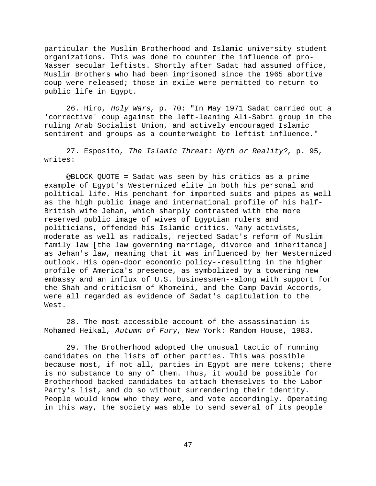particular the Muslim Brotherhood and Islamic university student organizations. This was done to counter the influence of pro-Nasser secular leftists. Shortly after Sadat had assumed office, Muslim Brothers who had been imprisoned since the 1965 abortive coup were released; those in exile were permitted to return to public life in Egypt.

26. Hiro, Holy Wars, p. 70: "In May 1971 Sadat carried out a 'corrective' coup against the left-leaning Ali-Sabri group in the ruling Arab Socialist Union, and actively encouraged Islamic sentiment and groups as a counterweight to leftist influence."

27. Esposito, The Islamic Threat: Myth or Reality?, p. 95, writes:

@BLOCK QUOTE = Sadat was seen by his critics as a prime example of Egypt's Westernized elite in both his personal and political life. His penchant for imported suits and pipes as well as the high public image and international profile of his half-British wife Jehan, which sharply contrasted with the more reserved public image of wives of Egyptian rulers and politicians, offended his Islamic critics. Many activists, moderate as well as radicals, rejected Sadat's reform of Muslim family law [the law governing marriage, divorce and inheritance] as Jehan's law, meaning that it was influenced by her Westernized outlook. His open-door economic policy--resulting in the higher profile of America's presence, as symbolized by a towering new embassy and an influx of U.S. businessmen--along with support for the Shah and criticism of Khomeini, and the Camp David Accords, were all regarded as evidence of Sadat's capitulation to the West.

28. The most accessible account of the assassination is Mohamed Heikal, Autumn of Fury, New York: Random House, 1983.

29. The Brotherhood adopted the unusual tactic of running candidates on the lists of other parties. This was possible because most, if not all, parties in Egypt are mere tokens; there is no substance to any of them. Thus, it would be possible for Brotherhood-backed candidates to attach themselves to the Labor Party's list, and do so without surrendering their identity. People would know who they were, and vote accordingly. Operating in this way, the society was able to send several of its people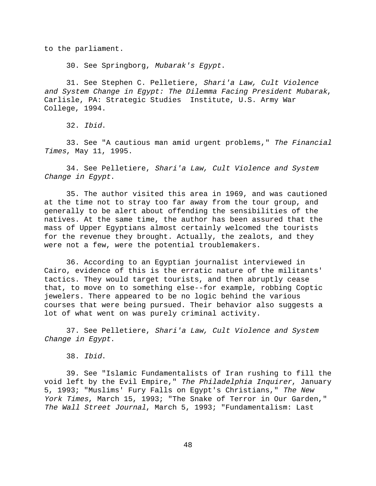to the parliament.

30. See Springborg, Mubarak's Egypt.

31. See Stephen C. Pelletiere, Shari'a Law, Cult Violence and System Change in Egypt: The Dilemma Facing President Mubarak, Carlisle, PA: Strategic Studies Institute, U.S. Army War College, 1994.

32. Ibid.

33. See "A cautious man amid urgent problems," The Financial Times, May 11, 1995.

34. See Pelletiere, Shari'a Law, Cult Violence and System Change in Egypt.

35. The author visited this area in 1969, and was cautioned at the time not to stray too far away from the tour group, and generally to be alert about offending the sensibilities of the natives. At the same time, the author has been assured that the mass of Upper Egyptians almost certainly welcomed the tourists for the revenue they brought. Actually, the zealots, and they were not a few, were the potential troublemakers.

36. According to an Egyptian journalist interviewed in Cairo, evidence of this is the erratic nature of the militants' tactics. They would target tourists, and then abruptly cease that, to move on to something else--for example, robbing Coptic jewelers. There appeared to be no logic behind the various courses that were being pursued. Their behavior also suggests a lot of what went on was purely criminal activity.

37. See Pelletiere, Shari'a Law, Cult Violence and System Change in Egypt.

38. Ibid.

39. See "Islamic Fundamentalists of Iran rushing to fill the void left by the Evil Empire," The Philadelphia Inquirer, January 5, 1993; "Muslims' Fury Falls on Egypt's Christians," The New York Times, March 15, 1993; "The Snake of Terror in Our Garden," The Wall Street Journal, March 5, 1993; "Fundamentalism: Last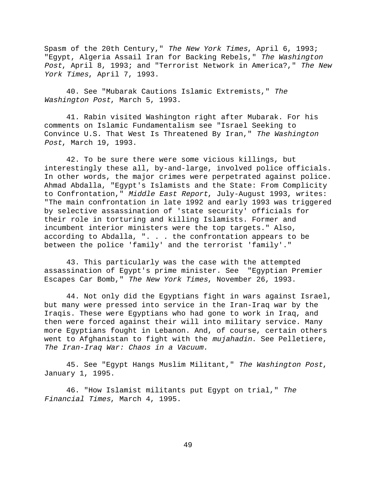Spasm of the 20th Century," The New York Times, April 6, 1993; "Egypt, Algeria Assail Iran for Backing Rebels," The Washington Post, April 8, 1993; and "Terrorist Network in America?," The New York Times, April 7, 1993.

40. See "Mubarak Cautions Islamic Extremists," The Washington Post, March 5, 1993.

41. Rabin visited Washington right after Mubarak. For his comments on Islamic Fundamentalism see "Israel Seeking to Convince U.S. That West Is Threatened By Iran," The Washington Post, March 19, 1993.

42. To be sure there were some vicious killings, but interestingly these all, by-and-large, involved police officials. In other words, the major crimes were perpetrated against police. Ahmad Abdalla, "Egypt's Islamists and the State: From Complicity to Confrontation," Middle East Report, July-August 1993, writes: "The main confrontation in late 1992 and early 1993 was triggered by selective assassination of 'state security' officials for their role in torturing and killing Islamists. Former and incumbent interior ministers were the top targets." Also, according to Abdalla, ". . . the confrontation appears to be between the police 'family' and the terrorist 'family'."

43. This particularly was the case with the attempted assassination of Egypt's prime minister. See "Egyptian Premier Escapes Car Bomb," The New York Times, November 26, 1993.

44. Not only did the Egyptians fight in wars against Israel, but many were pressed into service in the Iran-Iraq war by the Iraqis. These were Egyptians who had gone to work in Iraq, and then were forced against their will into military service. Many more Egyptians fought in Lebanon. And, of course, certain others went to Afghanistan to fight with the mujahadin. See Pelletiere, The Iran-Iraq War: Chaos in a Vacuum.

45. See "Egypt Hangs Muslim Militant," The Washington Post, January 1, 1995.

46. "How Islamist militants put Egypt on trial," The Financial Times, March 4, 1995.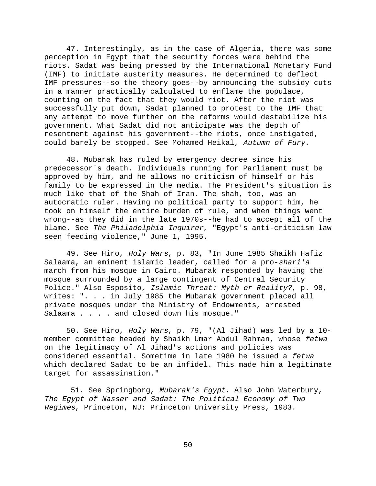47. Interestingly, as in the case of Algeria, there was some perception in Egypt that the security forces were behind the riots. Sadat was being pressed by the International Monetary Fund (IMF) to initiate austerity measures. He determined to deflect IMF pressures--so the theory goes--by announcing the subsidy cuts in a manner practically calculated to enflame the populace, counting on the fact that they would riot. After the riot was successfully put down, Sadat planned to protest to the IMF that any attempt to move further on the reforms would destabilize his government. What Sadat did not anticipate was the depth of resentment against his government--the riots, once instigated, could barely be stopped. See Mohamed Heikal, Autumn of Fury.

48. Mubarak has ruled by emergency decree since his predecessor's death. Individuals running for Parliament must be approved by him, and he allows no criticism of himself or his family to be expressed in the media. The President's situation is much like that of the Shah of Iran. The shah, too, was an autocratic ruler. Having no political party to support him, he took on himself the entire burden of rule, and when things went wrong--as they did in the late 1970s--he had to accept all of the blame. See The Philadelphia Inquirer, "Egypt's anti-criticism law seen feeding violence," June 1, 1995.

49. See Hiro, Holy Wars, p. 83, "In June 1985 Shaikh Hafiz Salaama, an eminent islamic leader, called for a pro-shari'a march from his mosque in Cairo. Mubarak responded by having the mosque surrounded by a large contingent of Central Security Police." Also Esposito, Islamic Threat: Myth or Reality?, p. 98, writes: ". . . in July 1985 the Mubarak government placed all private mosques under the Ministry of Endowments, arrested Salaama . . . . and closed down his mosque."

50. See Hiro, Holy Wars, p. 79, "(Al Jihad) was led by a 10 member committee headed by Shaikh Umar Abdul Rahman, whose fetwa on the legitimacy of Al Jihad's actions and policies was considered essential. Sometime in late 1980 he issued a fetwa which declared Sadat to be an infidel. This made him a legitimate target for assassination."

51. See Springborg, Mubarak's Egypt. Also John Waterbury, The Egypt of Nasser and Sadat: The Political Economy of Two Regimes, Princeton, NJ: Princeton University Press, 1983.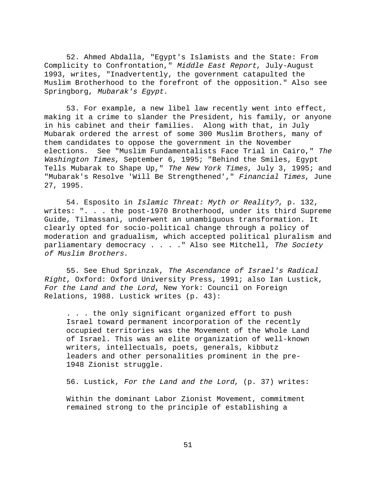52. Ahmed Abdalla, "Egypt's Islamists and the State: From Complicity to Confrontation," Middle East Report, July-August 1993, writes, "Inadvertently, the government catapulted the Muslim Brotherhood to the forefront of the opposition." Also see Springborg, Mubarak's Egypt.

53. For example, a new libel law recently went into effect, making it a crime to slander the President, his family, or anyone in his cabinet and their families. Along with that, in July Mubarak ordered the arrest of some 300 Muslim Brothers, many of them candidates to oppose the government in the November elections. See "Muslim Fundamentalists Face Trial in Cairo," The Washington Times, September 6, 1995; "Behind the Smiles, Egypt Tells Mubarak to Shape Up," The New York Times, July 3, 1995; and "Mubarak's Resolve 'Will Be Strengthened'," Financial Times, June 27, 1995.

54. Esposito in Islamic Threat: Myth or Reality?, p. 132, writes: ". . . the post-1970 Brotherhood, under its third Supreme Guide, Tilmassani, underwent an unambiguous transformation. It clearly opted for socio-political change through a policy of moderation and gradualism, which accepted political pluralism and parliamentary democracy . . . . " Also see Mitchell, The Society of Muslim Brothers.

55. See Ehud Sprinzak, The Ascendance of Israel's Radical Right, Oxford: Oxford University Press, 1991; also Ian Lustick, For the Land and the Lord, New York: Council on Foreign Relations, 1988. Lustick writes (p. 43):

. . . the only significant organized effort to push Israel toward permanent incorporation of the recently occupied territories was the Movement of the Whole Land of Israel. This was an elite organization of well-known writers, intellectuals, poets, generals, kibbutz leaders and other personalities prominent in the pre-1948 Zionist struggle.

56. Lustick, For the Land and the Lord, (p. 37) writes:

Within the dominant Labor Zionist Movement, commitment remained strong to the principle of establishing a

51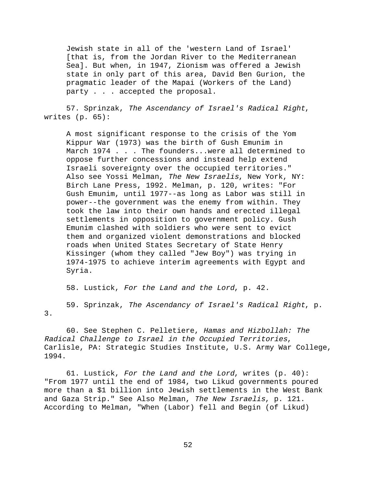Jewish state in all of the 'western Land of Israel' [that is, from the Jordan River to the Mediterranean Sea]. But when, in 1947, Zionism was offered a Jewish state in only part of this area, David Ben Gurion, the pragmatic leader of the Mapai (Workers of the Land) party . . . accepted the proposal.

57. Sprinzak, The Ascendancy of Israel's Radical Right, writes (p. 65):

A most significant response to the crisis of the Yom Kippur War (1973) was the birth of Gush Emunim in March 1974 . . . The founders...were all determined to oppose further concessions and instead help extend Israeli sovereignty over the occupied territories." Also see Yossi Melman, The New Israelis, New York, NY: Birch Lane Press, 1992. Melman, p. 120, writes: "For Gush Emunim, until 1977--as long as Labor was still in power--the government was the enemy from within. They took the law into their own hands and erected illegal settlements in opposition to government policy. Gush Emunim clashed with soldiers who were sent to evict them and organized violent demonstrations and blocked roads when United States Secretary of State Henry Kissinger (whom they called "Jew Boy") was trying in 1974-1975 to achieve interim agreements with Egypt and Syria.

58. Lustick, For the Land and the Lord, p. 42.

3.

59. Sprinzak, The Ascendancy of Israel's Radical Right, p.

60. See Stephen C. Pelletiere, Hamas and Hizbollah: The Radical Challenge to Israel in the Occupied Territories, Carlisle, PA: Strategic Studies Institute, U.S. Army War College, 1994.

61. Lustick, For the Land and the Lord, writes (p. 40): "From 1977 until the end of 1984, two Likud governments poured more than a \$1 billion into Jewish settlements in the West Bank and Gaza Strip." See Also Melman, The New Israelis, p. 121. According to Melman, "When (Labor) fell and Begin (of Likud)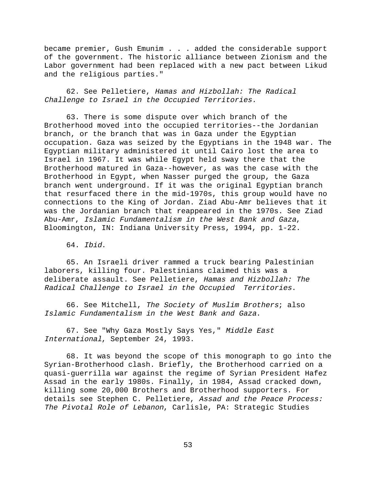became premier, Gush Emunim . . . added the considerable support of the government. The historic alliance between Zionism and the Labor government had been replaced with a new pact between Likud and the religious parties."

62. See Pelletiere, Hamas and Hizbollah: The Radical Challenge to Israel in the Occupied Territories.

63. There is some dispute over which branch of the Brotherhood moved into the occupied territories--the Jordanian branch, or the branch that was in Gaza under the Egyptian occupation. Gaza was seized by the Egyptians in the 1948 war. The Egyptian military administered it until Cairo lost the area to Israel in 1967. It was while Egypt held sway there that the Brotherhood matured in Gaza--however, as was the case with the Brotherhood in Egypt, when Nasser purged the group, the Gaza branch went underground. If it was the original Egyptian branch that resurfaced there in the mid-1970s, this group would have no connections to the King of Jordan. Ziad Abu-Amr believes that it was the Jordanian branch that reappeared in the 1970s. See Ziad Abu-Amr, Islamic Fundamentalism in the West Bank and Gaza, Bloomington, IN: Indiana University Press, 1994, pp. 1-22.

64. Ibid.

65. An Israeli driver rammed a truck bearing Palestinian laborers, killing four. Palestinians claimed this was a deliberate assault. See Pelletiere, Hamas and Hizbollah: The Radical Challenge to Israel in the Occupied Territories.

66. See Mitchell, The Society of Muslim Brothers; also Islamic Fundamentalism in the West Bank and Gaza.

67. See "Why Gaza Mostly Says Yes," Middle East International, September 24, 1993.

68. It was beyond the scope of this monograph to go into the Syrian-Brotherhood clash. Briefly, the Brotherhood carried on a quasi-guerrilla war against the regime of Syrian President Hafez Assad in the early 1980s. Finally, in 1984, Assad cracked down, killing some 20,000 Brothers and Brotherhood supporters. For details see Stephen C. Pelletiere, Assad and the Peace Process: The Pivotal Role of Lebanon, Carlisle, PA: Strategic Studies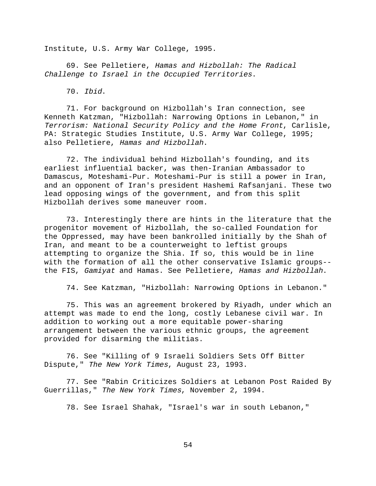Institute, U.S. Army War College, 1995.

69. See Pelletiere, Hamas and Hizbollah: The Radical Challenge to Israel in the Occupied Territories.

70. Ibid.

71. For background on Hizbollah's Iran connection, see Kenneth Katzman, "Hizbollah: Narrowing Options in Lebanon," in Terrorism: National Security Policy and the Home Front, Carlisle, PA: Strategic Studies Institute, U.S. Army War College, 1995; also Pelletiere, Hamas and Hizbollah.

72. The individual behind Hizbollah's founding, and its earliest influential backer, was then-Iranian Ambassador to Damascus, Moteshami-Pur. Moteshami-Pur is still a power in Iran, and an opponent of Iran's president Hashemi Rafsanjani. These two lead opposing wings of the government, and from this split Hizbollah derives some maneuver room.

73. Interestingly there are hints in the literature that the progenitor movement of Hizbollah, the so-called Foundation for the Oppressed, may have been bankrolled initially by the Shah of Iran, and meant to be a counterweight to leftist groups attempting to organize the Shia. If so, this would be in line with the formation of all the other conservative Islamic groups- the FIS, Gamiyat and Hamas. See Pelletiere, Hamas and Hizbollah.

74. See Katzman, "Hizbollah: Narrowing Options in Lebanon."

75. This was an agreement brokered by Riyadh, under which an attempt was made to end the long, costly Lebanese civil war. In addition to working out a more equitable power-sharing arrangement between the various ethnic groups, the agreement provided for disarming the militias.

76. See "Killing of 9 Israeli Soldiers Sets Off Bitter Dispute," The New York Times, August 23, 1993.

77. See "Rabin Criticizes Soldiers at Lebanon Post Raided By Guerrillas," The New York Times, November 2, 1994.

78. See Israel Shahak, "Israel's war in south Lebanon,"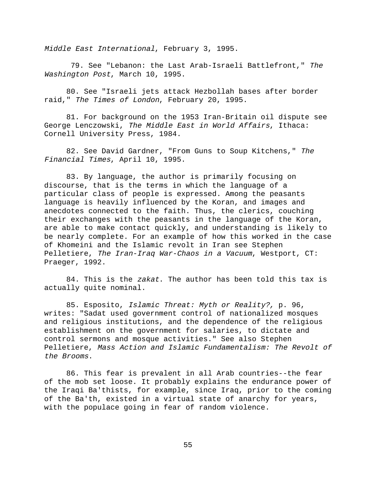Middle East International, February 3, 1995.

 79. See "Lebanon: the Last Arab-Israeli Battlefront," The Washington Post, March 10, 1995.

80. See "Israeli jets attack Hezbollah bases after border raid," The Times of London, February 20, 1995.

81. For background on the 1953 Iran-Britain oil dispute see George Lenczowski, The Middle East in World Affairs, Ithaca: Cornell University Press, 1984.

82. See David Gardner, "From Guns to Soup Kitchens," The Financial Times, April 10, 1995.

83. By language, the author is primarily focusing on discourse, that is the terms in which the language of a particular class of people is expressed. Among the peasants language is heavily influenced by the Koran, and images and anecdotes connected to the faith. Thus, the clerics, couching their exchanges with the peasants in the language of the Koran, are able to make contact quickly, and understanding is likely to be nearly complete. For an example of how this worked in the case of Khomeini and the Islamic revolt in Iran see Stephen Pelletiere, The Iran-Iraq War-Chaos in a Vacuum, Westport, CT: Praeger, 1992.

84. This is the zakat. The author has been told this tax is actually quite nominal.

85. Esposito, Islamic Threat: Myth or Reality?, p. 96, writes: "Sadat used government control of nationalized mosques and religious institutions, and the dependence of the religious establishment on the government for salaries, to dictate and control sermons and mosque activities." See also Stephen Pelletiere, Mass Action and Islamic Fundamentalism: The Revolt of the Brooms.

86. This fear is prevalent in all Arab countries--the fear of the mob set loose. It probably explains the endurance power of the Iraqi Ba'thists, for example, since Iraq, prior to the coming of the Ba'th, existed in a virtual state of anarchy for years, with the populace going in fear of random violence.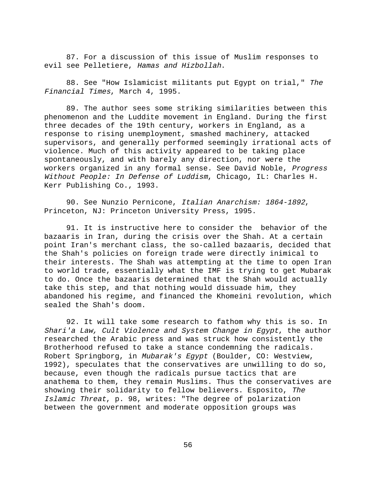87. For a discussion of this issue of Muslim responses to evil see Pelletiere, Hamas and Hizbollah.

88. See "How Islamicist militants put Egypt on trial," The Financial Times, March 4, 1995.

89. The author sees some striking similarities between this phenomenon and the Luddite movement in England. During the first three decades of the 19th century, workers in England, as a response to rising unemployment, smashed machinery, attacked supervisors, and generally performed seemingly irrational acts of violence. Much of this activity appeared to be taking place spontaneously, and with barely any direction, nor were the workers organized in any formal sense. See David Noble, Progress Without People: In Defense of Luddism, Chicago, IL: Charles H. Kerr Publishing Co., 1993.

90. See Nunzio Pernicone, Italian Anarchism: 1864-1892, Princeton, NJ: Princeton University Press, 1995.

91. It is instructive here to consider the behavior of the bazaaris in Iran, during the crisis over the Shah. At a certain point Iran's merchant class, the so-called bazaaris, decided that the Shah's policies on foreign trade were directly inimical to their interests. The Shah was attempting at the time to open Iran to world trade, essentially what the IMF is trying to get Mubarak to do. Once the bazaaris determined that the Shah would actually take this step, and that nothing would dissuade him, they abandoned his regime, and financed the Khomeini revolution, which sealed the Shah's doom.

92. It will take some research to fathom why this is so. In Shari'a Law, Cult Violence and System Change in Egypt, the author researched the Arabic press and was struck how consistently the Brotherhood refused to take a stance condemning the radicals. Robert Springborg, in Mubarak's Egypt (Boulder, CO: Westview, 1992), speculates that the conservatives are unwilling to do so, because, even though the radicals pursue tactics that are anathema to them, they remain Muslims. Thus the conservatives are showing their solidarity to fellow believers. Esposito, The Islamic Threat, p. 98, writes: "The degree of polarization between the government and moderate opposition groups was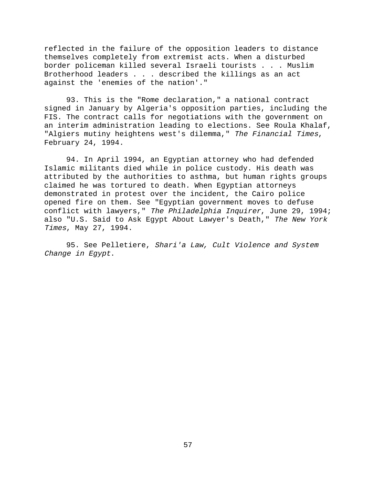reflected in the failure of the opposition leaders to distance themselves completely from extremist acts. When a disturbed border policeman killed several Israeli tourists . . . Muslim Brotherhood leaders . . . described the killings as an act against the 'enemies of the nation'."

93. This is the "Rome declaration," a national contract signed in January by Algeria's opposition parties, including the FIS. The contract calls for negotiations with the government on an interim administration leading to elections. See Roula Khalaf, "Algiers mutiny heightens west's dilemma," The Financial Times, February 24, 1994.

94. In April 1994, an Egyptian attorney who had defended Islamic militants died while in police custody. His death was attributed by the authorities to asthma, but human rights groups claimed he was tortured to death. When Egyptian attorneys demonstrated in protest over the incident, the Cairo police opened fire on them. See "Egyptian government moves to defuse conflict with lawyers," The Philadelphia Inquirer, June 29, 1994; also "U.S. Said to Ask Egypt About Lawyer's Death," The New York Times, May 27, 1994.

95. See Pelletiere, Shari'a Law, Cult Violence and System Change in Egypt.